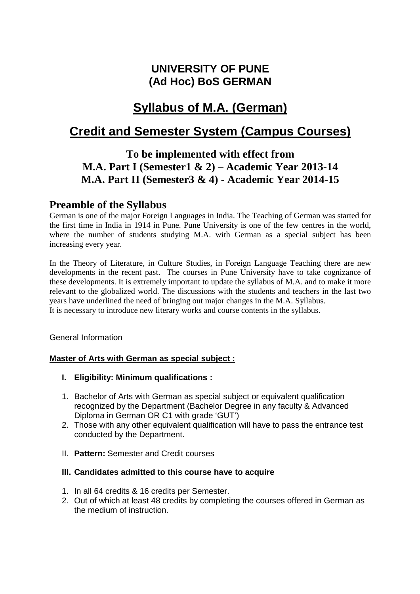# **UNIVERSITY OF PUNE (Ad Hoc) BoS GERMAN**

# **Syllabus of M.A. (German)**

# **Credit and Semester System (Campus Courses)**

# **To be implemented with effect from M.A. Part I (Semester1 & 2) – Academic Year 2013-14 M.A. Part II (Semester3 & 4) - Academic Year 2014-15**

## **Preamble of the Syllabus**

German is one of the major Foreign Languages in India. The Teaching of German was started for the first time in India in 1914 in Pune. Pune University is one of the few centres in the world, where the number of students studying M.A. with German as a special subject has been increasing every year.

In the Theory of Literature, in Culture Studies, in Foreign Language Teaching there are new developments in the recent past. The courses in Pune University have to take cognizance of these developments. It is extremely important to update the syllabus of M.A. and to make it more relevant to the globalized world. The discussions with the students and teachers in the last two years have underlined the need of bringing out major changes in the M.A. Syllabus. It is necessary to introduce new literary works and course contents in the syllabus.

General Information

## **Master of Arts with German as special subject :**

- **I. Eligibility: Minimum qualifications :**
- 1. Bachelor of Arts with German as special subject or equivalent qualification recognized by the Department (Bachelor Degree in any faculty & Advanced Diploma in German OR C1 with grade 'GUT')
- 2. Those with any other equivalent qualification will have to pass the entrance test conducted by the Department.
- II. **Pattern:** Semester and Credit courses

#### **III. Candidates admitted to this course have to acquire**

- 1. In all 64 credits & 16 credits per Semester.
- 2. Out of which at least 48 credits by completing the courses offered in German as the medium of instruction.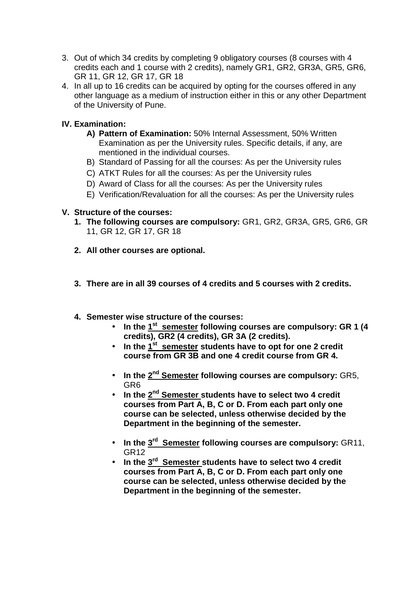- 3. Out of which 34 credits by completing 9 obligatory courses (8 courses with 4 credits each and 1 course with 2 credits), namely GR1, GR2, GR3A, GR5, GR6, GR 11, GR 12, GR 17, GR 18
- 4. In all up to 16 credits can be acquired by opting for the courses offered in any other language as a medium of instruction either in this or any other Department of the University of Pune.

## **IV. Examination:**

- **A) Pattern of Examination:** 50% Internal Assessment, 50% Written Examination as per the University rules. Specific details, if any, are mentioned in the individual courses.
- B) Standard of Passing for all the courses: As per the University rules
- C) ATKT Rules for all the courses: As per the University rules
- D) Award of Class for all the courses: As per the University rules
- E) Verification/Revaluation for all the courses: As per the University rules

## **V. Structure of the courses:**

- **1. The following courses are compulsory:** GR1, GR2, GR3A, GR5, GR6, GR 11, GR 12, GR 17, GR 18
- **2. All other courses are optional.**
- **3. There are in all 39 courses of 4 credits and 5 courses with 2 credits.**
- **4. Semester wise structure of the courses:** 
	- **In the 1st semester following courses are compulsory: GR 1 (4 credits), GR2 (4 credits), GR 3A (2 credits).**
	- **In the 1st semester students have to opt for one 2 credit course from GR 3B and one 4 credit course from GR 4.**
	- **In the 2nd Semester following courses are compulsory:** GR5, GR6
	- **In the 2nd Semester students have to select two 4 credit courses from Part A, B, C or D. From each part only one course can be selected, unless otherwise decided by the Department in the beginning of the semester.**
	- **In the 3rd Semester following courses are compulsory:** GR11, GR12
	- **In the 3rd Semester students have to select two 4 credit courses from Part A, B, C or D. From each part only one course can be selected, unless otherwise decided by the Department in the beginning of the semester.**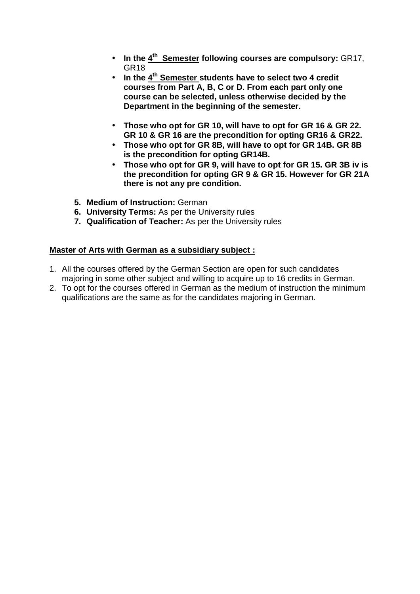- **In the 4th Semester following courses are compulsory:** GR17, GR18
- **In the 4th Semester students have to select two 4 credit courses from Part A, B, C or D. From each part only one course can be selected, unless otherwise decided by the Department in the beginning of the semester.**
- **Those who opt for GR 10, will have to opt for GR 16 & GR 22. GR 10 & GR 16 are the precondition for opting GR16 & GR22.**
- **Those who opt for GR 8B, will have to opt for GR 14B. GR 8B is the precondition for opting GR14B.**
- **Those who opt for GR 9, will have to opt for GR 15. GR 3B iv is the precondition for opting GR 9 & GR 15. However for GR 21A there is not any pre condition.**
- **5. Medium of Instruction:** German
- **6. University Terms:** As per the University rules
- **7. Qualification of Teacher:** As per the University rules

## **Master of Arts with German as a subsidiary subject :**

- 1. All the courses offered by the German Section are open for such candidates majoring in some other subject and willing to acquire up to 16 credits in German.
- 2. To opt for the courses offered in German as the medium of instruction the minimum qualifications are the same as for the candidates majoring in German.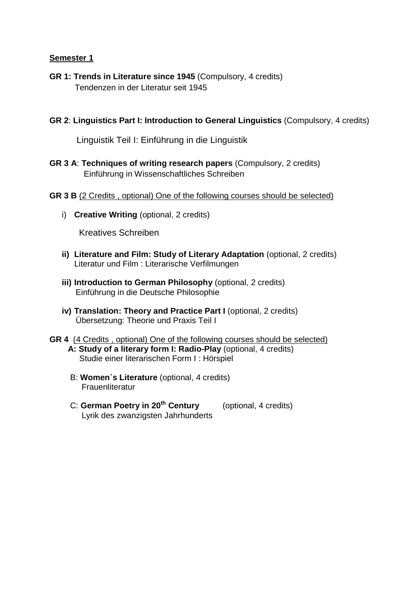- **GR 1: Trends in Literature since 1945** (Compulsory, 4 credits) Tendenzen in der Literatur seit 1945
- **GR 2**: **Linguistics Part I: Introduction to General Linguistics** (Compulsory, 4 credits)

Linguistik Teil I: Einführung in die Linguistik

- **GR 3 A**: **Techniques of writing research papers** (Compulsory, 2 credits) Einführung in Wissenschaftliches Schreiben
- **GR 3 B** (2 Credits , optional) One of the following courses should be selected)
	- i) **Creative Writing** (optional, 2 credits)

Kreatives Schreiben

- **ii) Literature and Film: Study of Literary Adaptation** (optional, 2 credits) Literatur und Film : Literarische Verfilmungen
- **iii) Introduction to German Philosophy** (optional, 2 credits) Einführung in die Deutsche Philosophie
- **iv) Translation: Theory and Practice Part I** (optional, 2 credits) Übersetzung: Theorie und Praxis Teil I
- **GR 4** (4 Credits , optional) One of the following courses should be selected)  **A: Study of a literary form I: Radio-Play** (optional, 4 credits) Studie einer literarischen Form I : Hörspiel
	- B: **Women`s Literature** (optional, 4 credits) **Frauenliteratur**
	- C: **German Poetry in 20th Century** (optional, 4 credits) Lyrik des zwanzigsten Jahrhunderts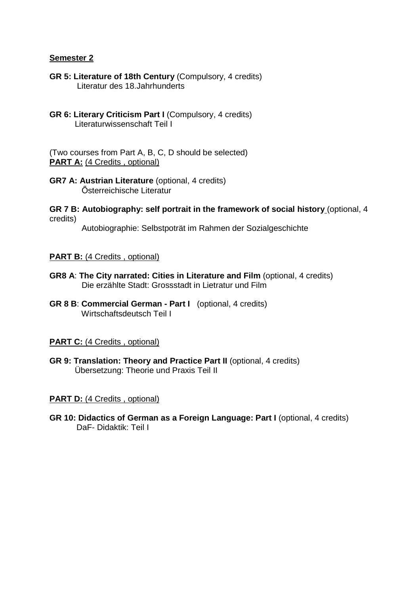- **GR 5: Literature of 18th Century** (Compulsory, 4 credits) Literatur des 18.Jahrhunderts
- **GR 6: Literary Criticism Part I** (Compulsory, 4 credits) Literaturwissenschaft Teil I

(Two courses from Part A, B, C, D should be selected) **PART A:** (4 Credits, optional)

- **GR7 A: Austrian Literature** (optional, 4 credits) Österreichische Literatur
- **GR 7 B: Autobiography: self portrait in the framework of social history** (optional, 4 credits)

Autobiographie: Selbstpoträt im Rahmen der Sozialgeschichte

### **PART B:** (4 Credits, optional)

- **GR8 A**: **The City narrated: Cities in Literature and Film** (optional, 4 credits) Die erzählte Stadt: Grossstadt in Lietratur und Film
- **GR 8 B**: **Commercial German Part I** (optional, 4 credits) Wirtschaftsdeutsch Teil I

## **PART C:** (4 Credits, optional)

**GR 9: Translation: Theory and Practice Part II** (optional, 4 credits) Übersetzung: Theorie und Praxis Teil II

## **PART D:** (4 Credits, optional)

**GR 10: Didactics of German as a Foreign Language: Part I** (optional, 4 credits) DaF- Didaktik: Teil I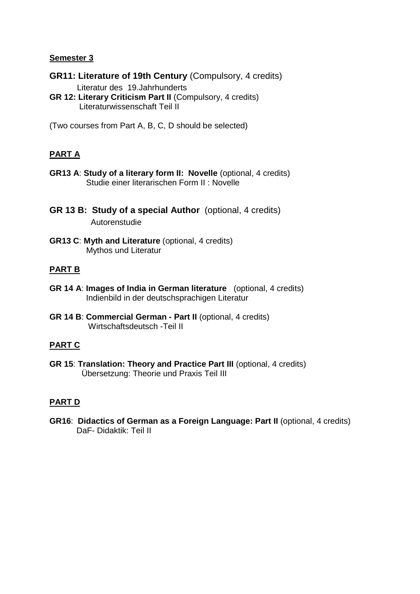**GR11: Literature of 19th Century** (Compulsory, 4 credits)

Literatur des 19.Jahrhunderts

**GR 12: Literary Criticism Part II** (Compulsory, 4 credits) Literaturwissenschaft Teil II

(Two courses from Part A, B, C, D should be selected)

## **PART A**

- **GR13 A**: **Study of a literary form II: Novelle** (optional, 4 credits) Studie einer literarischen Form II : Novelle
- **GR 13 B: Study of a special Author** (optional, 4 credits) Autorenstudie
- **GR13 C**: **Myth and Literature** (optional, 4 credits) Mythos und Literatur

## **PART B**

- **GR 14 A**: **Images of India in German literature** (optional, 4 credits) Indienbild in der deutschsprachigen Literatur
- **GR 14 B**: **Commercial German Part II** (optional, 4 credits) Wirtschaftsdeutsch -Teil II

## **PART C**

**GR 15**: **Translation: Theory and Practice Part III** (optional, 4 credits) Übersetzung: Theorie und Praxis Teil III

## **PART D**

**GR16**: **Didactics of German as a Foreign Language: Part II** (optional, 4 credits) DaF- Didaktik: Teil II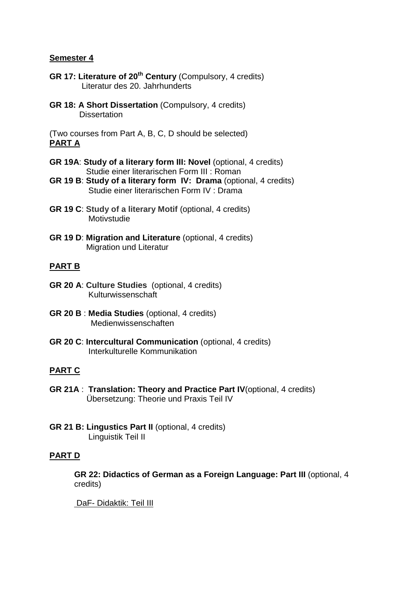- **GR 17: Literature of 20th Century** (Compulsory, 4 credits) Literatur des 20. Jahrhunderts
- **GR 18: A Short Dissertation** (Compulsory, 4 credits) **Dissertation**

(Two courses from Part A, B, C, D should be selected) **PART A**

- **GR 19A**: **Study of a literary form III: Novel** (optional, 4 credits) Studie einer literarischen Form III : Roman
- **GR 19 B**: **Study of a literary form IV: Drama** (optional, 4 credits) Studie einer literarischen Form IV : Drama
- **GR 19 C**: **Study of a literary Motif** (optional, 4 credits) **Motivstudie**
- **GR 19 D**: **Migration and Literature** (optional, 4 credits) Migration und Literatur

## **PART B**

- **GR 20 A**: **Culture Studies** (optional, 4 credits) Kulturwissenschaft
- **GR 20 B** : **Media Studies** (optional, 4 credits) Medienwissenschaften
- **GR 20 C**: **Intercultural Communication** (optional, 4 credits) Interkulturelle Kommunikation

## **PART C**

- **GR 21A** : **Translation: Theory and Practice Part IV**(optional, 4 credits) Übersetzung: Theorie und Praxis Teil IV
- **GR 21 B: Lingustics Part II** (optional, 4 credits) Linguistik Teil II

## **PART D**

**GR 22: Didactics of German as a Foreign Language: Part III** (optional, 4 credits)

DaF- Didaktik: Teil III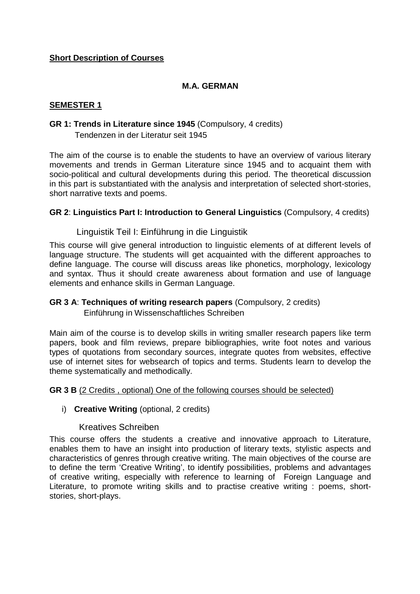## **Short Description of Courses**

## **M.A. GERMAN**

## **SEMESTER 1**

### **GR 1: Trends in Literature since 1945** (Compulsory, 4 credits) Tendenzen in der Literatur seit 1945

The aim of the course is to enable the students to have an overview of various literary movements and trends in German Literature since 1945 and to acquaint them with socio-political and cultural developments during this period. The theoretical discussion in this part is substantiated with the analysis and interpretation of selected short-stories, short narrative texts and poems.

### **GR 2**: **Linguistics Part I: Introduction to General Linguistics** (Compulsory, 4 credits)

## Linguistik Teil I: Einführung in die Linguistik

This course will give general introduction to linguistic elements of at different levels of language structure. The students will get acquainted with the different approaches to define language. The course will discuss areas like phonetics, morphology, lexicology and syntax. Thus it should create awareness about formation and use of language elements and enhance skills in German Language.

## **GR 3 A**: **Techniques of writing research papers** (Compulsory, 2 credits)

Einführung in Wissenschaftliches Schreiben

Main aim of the course is to develop skills in writing smaller research papers like term papers, book and film reviews, prepare bibliographies, write foot notes and various types of quotations from secondary sources, integrate quotes from websites, effective use of internet sites for websearch of topics and terms. Students learn to develop the theme systematically and methodically.

#### **GR 3 B** (2 Credits , optional) One of the following courses should be selected)

#### i) **Creative Writing** (optional, 2 credits)

## Kreatives Schreiben

This course offers the students a creative and innovative approach to Literature, enables them to have an insight into production of literary texts, stylistic aspects and characteristics of genres through creative writing. The main objectives of the course are to define the term 'Creative Writing', to identify possibilities, problems and advantages of creative writing, especially with reference to learning of Foreign Language and Literature, to promote writing skills and to practise creative writing : poems, shortstories, short-plays.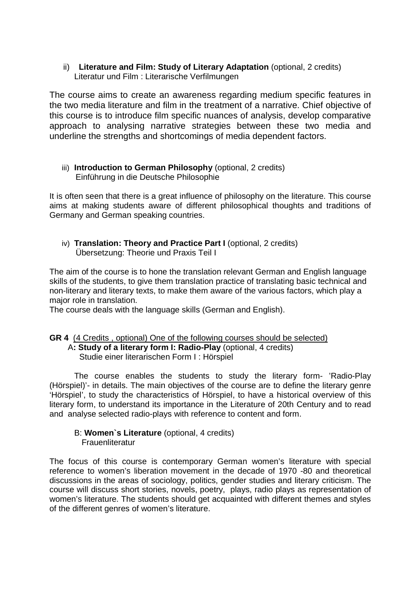ii) **Literature and Film: Study of Literary Adaptation** (optional, 2 credits) Literatur und Film : Literarische Verfilmungen

The course aims to create an awareness regarding medium specific features in the two media literature and film in the treatment of a narrative. Chief objective of this course is to introduce film specific nuances of analysis, develop comparative approach to analysing narrative strategies between these two media and underline the strengths and shortcomings of media dependent factors.

## iii) **Introduction to German Philosophy** (optional, 2 credits) Einführung in die Deutsche Philosophie

It is often seen that there is a great influence of philosophy on the literature. This course aims at making students aware of different philosophical thoughts and traditions of Germany and German speaking countries.

iv) **Translation: Theory and Practice Part I** (optional, 2 credits) Übersetzung: Theorie und Praxis Teil I

The aim of the course is to hone the translation relevant German and English language skills of the students, to give them translation practice of translating basic technical and non-literary and literary texts, to make them aware of the various factors, which play a major role in translation.

The course deals with the language skills (German and English).

#### **GR 4** (4 Credits , optional) One of the following courses should be selected) A**: Study of a literary form I: Radio-Play** (optional, 4 credits) Studie einer literarischen Form I : Hörspiel

The course enables the students to study the literary form- 'Radio-Play (Hörspiel)'- in details. The main objectives of the course are to define the literary genre 'Hörspiel', to study the characteristics of Hörspiel, to have a historical overview of this literary form, to understand its importance in the Literature of 20th Century and to read and analyse selected radio-plays with reference to content and form.

## B: **Women`s Literature** (optional, 4 credits) **Frauenliteratur**

The focus of this course is contemporary German women's literature with special reference to women's liberation movement in the decade of 1970 -80 and theoretical discussions in the areas of sociology, politics, gender studies and literary criticism. The course will discuss short stories, novels, poetry, plays, radio plays as representation of women's literature. The students should get acquainted with different themes and styles of the different genres of women's literature.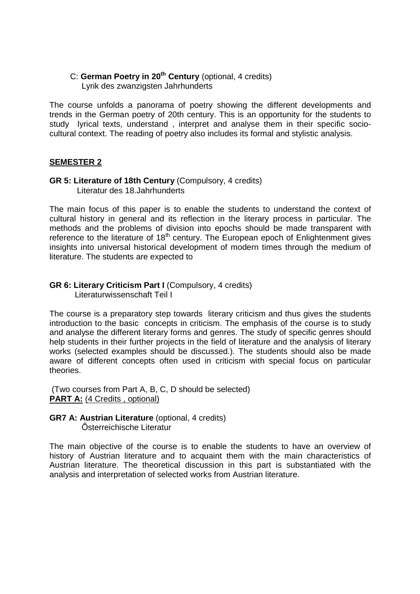### C: **German Poetry in 20th Century** (optional, 4 credits) Lyrik des zwanzigsten Jahrhunderts

The course unfolds a panorama of poetry showing the different developments and trends in the German poetry of 20th century. This is an opportunity for the students to study lyrical texts, understand , interpret and analyse them in their specific sociocultural context. The reading of poetry also includes its formal and stylistic analysis.

## **SEMESTER 2**

### **GR 5: Literature of 18th Century** (Compulsory, 4 credits) Literatur des 18.Jahrhunderts

The main focus of this paper is to enable the students to understand the context of cultural history in general and its reflection in the literary process in particular. The methods and the problems of division into epochs should be made transparent with reference to the literature of  $18<sup>th</sup>$  century. The European epoch of Enlightenment gives insights into universal historical development of modern times through the medium of literature. The students are expected to

#### **GR 6: Literary Criticism Part I** (Compulsory, 4 credits) Literaturwissenschaft Teil I

The course is a preparatory step towards literary criticism and thus gives the students introduction to the basic concepts in criticism. The emphasis of the course is to study and analyse the different literary forms and genres. The study of specific genres should help students in their further projects in the field of literature and the analysis of literary works (selected examples should be discussed.). The students should also be made aware of different concepts often used in criticism with special focus on particular theories.

 (Two courses from Part A, B, C, D should be selected) **PART A:** (4 Credits, optional)

**GR7 A: Austrian Literature** (optional, 4 credits) Österreichische Literatur

The main objective of the course is to enable the students to have an overview of history of Austrian literature and to acquaint them with the main characteristics of Austrian literature. The theoretical discussion in this part is substantiated with the analysis and interpretation of selected works from Austrian literature.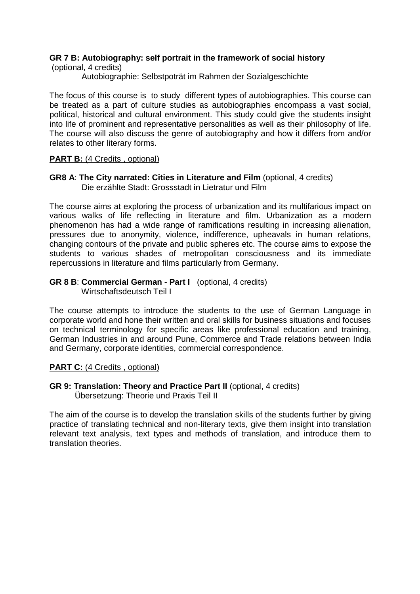## **GR 7 B: Autobiography: self portrait in the framework of social history**

(optional, 4 credits)

Autobiographie: Selbstpoträt im Rahmen der Sozialgeschichte

The focus of this course is to study different types of autobiographies. This course can be treated as a part of culture studies as autobiographies encompass a vast social, political, historical and cultural environment. This study could give the students insight into life of prominent and representative personalities as well as their philosophy of life. The course will also discuss the genre of autobiography and how it differs from and/or relates to other literary forms.

## **PART B:** (4 Credits, optional)

### **GR8 A**: **The City narrated: Cities in Literature and Film** (optional, 4 credits) Die erzählte Stadt: Grossstadt in Lietratur und Film

The course aims at exploring the process of urbanization and its multifarious impact on various walks of life reflecting in literature and film. Urbanization as a modern phenomenon has had a wide range of ramifications resulting in increasing alienation, pressures due to anonymity, violence, indifference, upheavals in human relations, changing contours of the private and public spheres etc. The course aims to expose the students to various shades of metropolitan consciousness and its immediate repercussions in literature and films particularly from Germany.

## **GR 8 B**: **Commercial German - Part I** (optional, 4 credits)

Wirtschaftsdeutsch Teil I

The course attempts to introduce the students to the use of German Language in corporate world and hone their written and oral skills for business situations and focuses on technical terminology for specific areas like professional education and training, German Industries in and around Pune, Commerce and Trade relations between India and Germany, corporate identities, commercial correspondence.

## **PART C:** (4 Credits , optional)

**GR 9: Translation: Theory and Practice Part II** (optional, 4 credits) Übersetzung: Theorie und Praxis Teil II

The aim of the course is to develop the translation skills of the students further by giving practice of translating technical and non-literary texts, give them insight into translation relevant text analysis, text types and methods of translation, and introduce them to translation theories.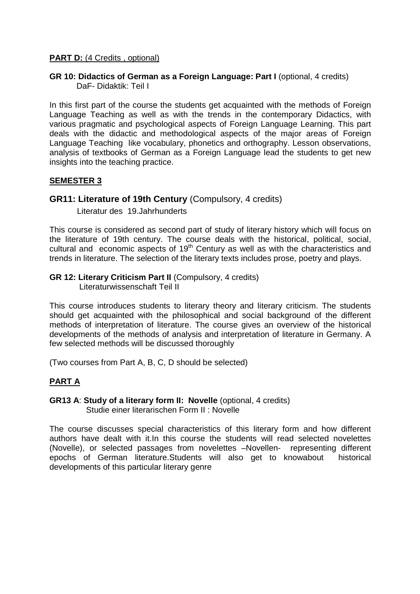### **PART D:** (4 Credits, optional)

### **GR 10: Didactics of German as a Foreign Language: Part I** (optional, 4 credits) DaF- Didaktik: Teil I

In this first part of the course the students get acquainted with the methods of Foreign Language Teaching as well as with the trends in the contemporary Didactics, with various pragmatic and psychological aspects of Foreign Language Learning. This part deals with the didactic and methodological aspects of the major areas of Foreign Language Teaching like vocabulary, phonetics and orthography. Lesson observations, analysis of textbooks of German as a Foreign Language lead the students to get new insights into the teaching practice.

### **SEMESTER 3**

## **GR11: Literature of 19th Century** (Compulsory, 4 credits)

Literatur des 19.Jahrhunderts

This course is considered as second part of study of literary history which will focus on the literature of 19th century. The course deals with the historical, political, social, cultural and economic aspects of  $19<sup>th</sup>$  Century as well as with the characteristics and trends in literature. The selection of the literary texts includes prose, poetry and plays.

#### **GR 12: Literary Criticism Part II** (Compulsory, 4 credits) Literaturwissenschaft Teil II

This course introduces students to literary theory and literary criticism. The students should get acquainted with the philosophical and social background of the different methods of interpretation of literature. The course gives an overview of the historical developments of the methods of analysis and interpretation of literature in Germany. A few selected methods will be discussed thoroughly

(Two courses from Part A, B, C, D should be selected)

## **PART A**

## **GR13 A**: **Study of a literary form II: Novelle** (optional, 4 credits) Studie einer literarischen Form II : Novelle

The course discusses special characteristics of this literary form and how different authors have dealt with it.In this course the students will read selected novelettes (Novelle), or selected passages from novelettes –Novellen- representing different epochs of German literature.Students will also get to knowabout historical developments of this particular literary genre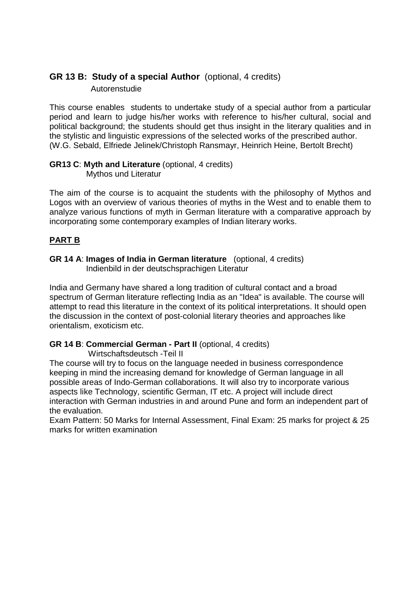## **GR 13 B: Study of a special Author** (optional, 4 credits) Autorenstudie

This course enables students to undertake study of a special author from a particular period and learn to judge his/her works with reference to his/her cultural, social and political background; the students should get thus insight in the literary qualities and in the stylistic and linguistic expressions of the selected works of the prescribed author. (W.G. Sebald, Elfriede Jelinek/Christoph Ransmayr, Heinrich Heine, Bertolt Brecht)

#### **GR13 C**: **Myth and Literature** (optional, 4 credits) Mythos und Literatur

The aim of the course is to acquaint the students with the philosophy of Mythos and Logos with an overview of various theories of myths in the West and to enable them to analyze various functions of myth in German literature with a comparative approach by incorporating some contemporary examples of Indian literary works.

## **PART B**

**GR 14 A**: **Images of India in German literature** (optional, 4 credits) Indienbild in der deutschsprachigen Literatur

India and Germany have shared a long tradition of cultural contact and a broad spectrum of German literature reflecting India as an "Idea" is available. The course will attempt to read this literature in the context of its political interpretations. It should open the discussion in the context of post-colonial literary theories and approaches like orientalism, exoticism etc.

## **GR 14 B**: **Commercial German - Part II** (optional, 4 credits)

Wirtschaftsdeutsch -Teil II

The course will try to focus on the language needed in business correspondence keeping in mind the increasing demand for knowledge of German language in all possible areas of Indo-German collaborations. It will also try to incorporate various aspects like Technology, scientific German, IT etc. A project will include direct interaction with German industries in and around Pune and form an independent part of the evaluation.

Exam Pattern: 50 Marks for Internal Assessment, Final Exam: 25 marks for project & 25 marks for written examination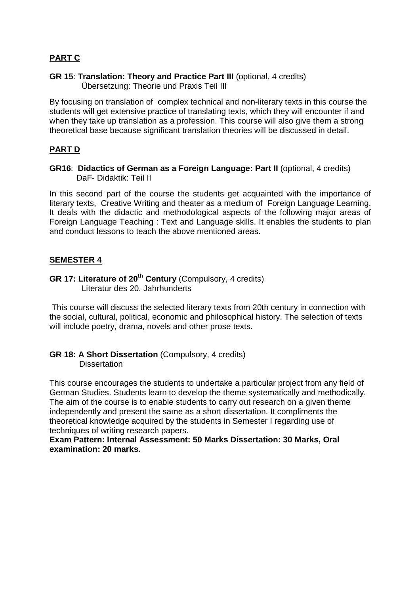## **PART C**

#### **GR 15**: **Translation: Theory and Practice Part III** (optional, 4 credits) Übersetzung: Theorie und Praxis Teil III

By focusing on translation of complex technical and non-literary texts in this course the students will get extensive practice of translating texts, which they will encounter if and when they take up translation as a profession. This course will also give them a strong theoretical base because significant translation theories will be discussed in detail.

## **PART D**

## **GR16**: **Didactics of German as a Foreign Language: Part II** (optional, 4 credits) DaF- Didaktik: Teil II

In this second part of the course the students get acquainted with the importance of literary texts, Creative Writing and theater as a medium of Foreign Language Learning. It deals with the didactic and methodological aspects of the following major areas of Foreign Language Teaching : Text and Language skills. It enables the students to plan and conduct lessons to teach the above mentioned areas.

## **SEMESTER 4**

## **GR 17: Literature of 20th Century** (Compulsory, 4 credits) Literatur des 20. Jahrhunderts

This course will discuss the selected literary texts from 20th century in connection with the social, cultural, political, economic and philosophical history. The selection of texts will include poetry, drama, novels and other prose texts.

### **GR 18: A Short Dissertation** (Compulsory, 4 credits) **Dissertation**

This course encourages the students to undertake a particular project from any field of German Studies. Students learn to develop the theme systematically and methodically. The aim of the course is to enable students to carry out research on a given theme independently and present the same as a short dissertation. It compliments the theoretical knowledge acquired by the students in Semester I regarding use of techniques of writing research papers.

**Exam Pattern: Internal Assessment: 50 Marks Dissertation: 30 Marks, Oral examination: 20 marks.**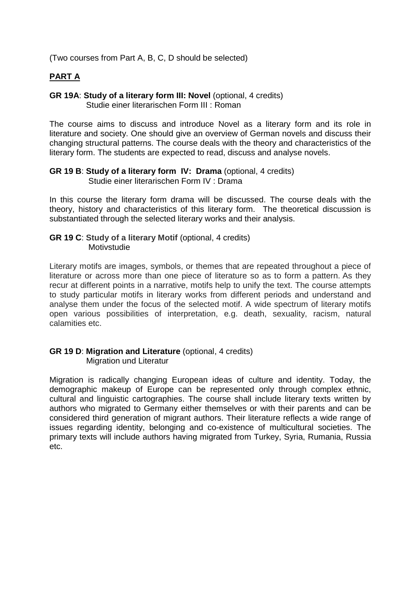(Two courses from Part A, B, C, D should be selected)

## **PART A**

### **GR 19A**: **Study of a literary form III: Novel** (optional, 4 credits) Studie einer literarischen Form III : Roman

The course aims to discuss and introduce Novel as a literary form and its role in literature and society. One should give an overview of German novels and discuss their changing structural patterns. The course deals with the theory and characteristics of the literary form. The students are expected to read, discuss and analyse novels.

## **GR 19 B**: **Study of a literary form IV: Drama** (optional, 4 credits)

Studie einer literarischen Form IV : Drama

In this course the literary form drama will be discussed. The course deals with the theory, history and characteristics of this literary form. The theoretical discussion is substantiated through the selected literary works and their analysis.

## **GR 19 C: Study of a literary Motif (optional, 4 credits)** Motivstudie

Literary motifs are images, symbols, or themes that are repeated throughout a piece of literature or across more than one piece of literature so as to form a pattern. As they recur at different points in a narrative, motifs help to unify the text. The course attempts to study particular motifs in literary works from different periods and understand and analyse them under the focus of the selected motif. A wide spectrum of literary motifs open various possibilities of interpretation, e.g. death, sexuality, racism, natural calamities etc.

## **GR 19 D**: **Migration and Literature** (optional, 4 credits) Migration und Literatur

Migration is radically changing European ideas of culture and identity. Today, the demographic makeup of Europe can be represented only through complex ethnic, cultural and linguistic cartographies. The course shall include literary texts written by authors who migrated to Germany either themselves or with their parents and can be considered third generation of migrant authors. Their literature reflects a wide range of issues regarding identity, belonging and co-existence of multicultural societies. The primary texts will include authors having migrated from Turkey, Syria, Rumania, Russia etc.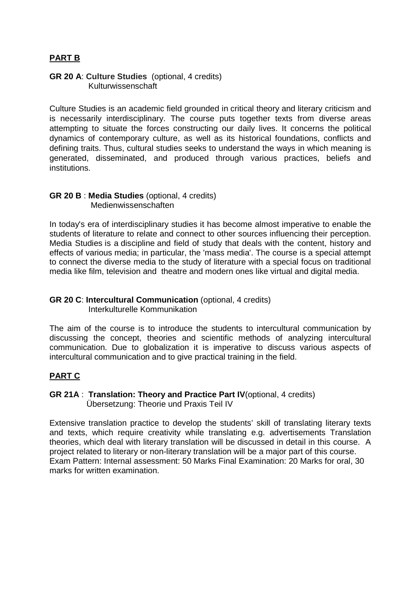## **PART B**

### **GR 20 A**: **Culture Studies** (optional, 4 credits) Kulturwissenschaft

Culture Studies is an academic field grounded in critical theory and literary criticism and is necessarily interdisciplinary. The course puts together texts from diverse areas attempting to situate the forces constructing our daily lives. It concerns the political dynamics of contemporary culture, as well as its historical foundations, conflicts and defining traits. Thus, cultural studies seeks to understand the ways in which meaning is generated, disseminated, and produced through various practices, beliefs and institutions.

### **GR 20 B** : **Media Studies** (optional, 4 credits) Medienwissenschaften

In today's era of interdisciplinary studies it has become almost imperative to enable the students of literature to relate and connect to other sources influencing their perception. Media Studies is a discipline and field of study that deals with the content, history and effects of various media; in particular, the 'mass media'. The course is a special attempt to connect the diverse media to the study of literature with a special focus on traditional media like film, television and theatre and modern ones like virtual and digital media.

## **GR 20 C**: **Intercultural Communication** (optional, 4 credits) Interkulturelle Kommunikation

The aim of the course is to introduce the students to intercultural communication by discussing the concept, theories and scientific methods of analyzing intercultural communication. Due to globalization it is imperative to discuss various aspects of intercultural communication and to give practical training in the field.

## **PART C**

## **GR 21A** : **Translation: Theory and Practice Part IV**(optional, 4 credits) Übersetzung: Theorie und Praxis Teil IV

Extensive translation practice to develop the students' skill of translating literary texts and texts, which require creativity while translating e.g. advertisements Translation theories, which deal with literary translation will be discussed in detail in this course. A project related to literary or non-literary translation will be a major part of this course. Exam Pattern: Internal assessment: 50 Marks Final Examination: 20 Marks for oral, 30 marks for written examination.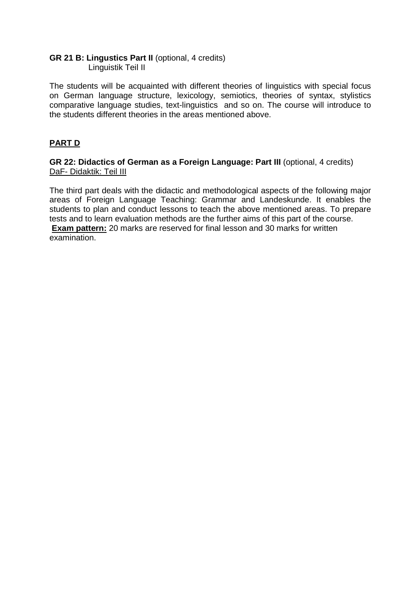### **GR 21 B: Lingustics Part II** (optional, 4 credits) Linguistik Teil II

The students will be acquainted with different theories of linguistics with special focus on German language structure, lexicology, semiotics, theories of syntax, stylistics comparative language studies, text-linguistics and so on. The course will introduce to the students different theories in the areas mentioned above.

## **PART D**

**GR 22: Didactics of German as a Foreign Language: Part III** (optional, 4 credits) DaF- Didaktik: Teil III

The third part deals with the didactic and methodological aspects of the following major areas of Foreign Language Teaching: Grammar and Landeskunde. It enables the students to plan and conduct lessons to teach the above mentioned areas. To prepare tests and to learn evaluation methods are the further aims of this part of the course. **Exam pattern:** 20 marks are reserved for final lesson and 30 marks for written examination.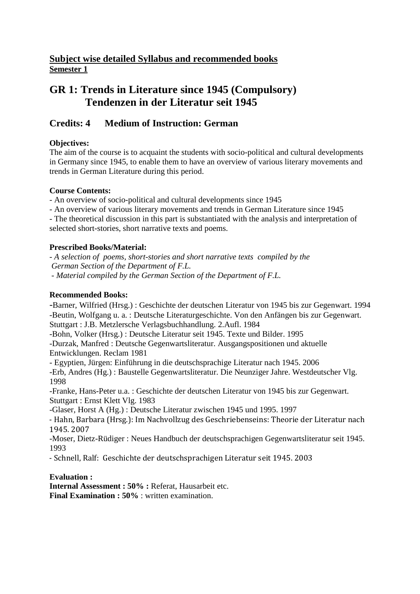## **Subject wise detailed Syllabus and recommended books Semester 1**

# **GR 1: Trends in Literature since 1945 (Compulsory) Tendenzen in der Literatur seit 1945**

## **Credits: 4 Medium of Instruction: German**

## **Objectives:**

The aim of the course is to acquaint the students with socio-political and cultural developments in Germany since 1945, to enable them to have an overview of various literary movements and trends in German Literature during this period.

## **Course Contents:**

- An overview of socio-political and cultural developments since 1945

- An overview of various literary movements and trends in German Literature since 1945

- The theoretical discussion in this part is substantiated with the analysis and interpretation of selected short-stories, short narrative texts and poems.

## **Prescribed Books/Material:**

*- A selection of poems, short-stories and short narrative texts compiled by the German Section of the Department of F.L. - Material compiled by the German Section of the Department of F.L.* 

## **Recommended Books:**

-Barner, Wilfried (Hrsg.) : Geschichte der deutschen Literatur von 1945 bis zur Gegenwart. 1994 -Beutin, Wolfgang u. a. : Deutsche Literaturgeschichte. Von den Anfängen bis zur Gegenwart. Stuttgart : J.B. Metzlersche Verlagsbuchhandlung. 2.Aufl. 1984 -Bohn, Volker (Hrsg.) : Deutsche Literatur seit 1945. Texte und Bilder. 1995 -Durzak, Manfred : Deutsche Gegenwartsliteratur. Ausgangspositionen und aktuelle Entwicklungen. Reclam 1981 - Egyptien, Jürgen: Einführung in die deutschsprachige Literatur nach 1945. 2006 -Erb, Andres (Hg.) : Baustelle Gegenwartsliteratur. Die Neunziger Jahre. Westdeutscher Vlg. 1998 -Franke, Hans-Peter u.a. : Geschichte der deutschen Literatur von 1945 bis zur Gegenwart. Stuttgart : Ernst Klett Vlg. 1983 -Glaser, Horst A (Hg.) : Deutsche Literatur zwischen 1945 und 1995. 1997 - Hahn, Barbara (Hrsg.): Im Nachvollzug des Geschriebenseins: Theorie der Literatur nach 1945. 2007 -Moser, Dietz-Rüdiger : Neues Handbuch der deutschsprachigen Gegenwartsliteratur seit 1945. 1993 - Schnell, Ralf: Geschichte der deutschsprachigen Literatur seit 1945. 2003

**Evaluation :**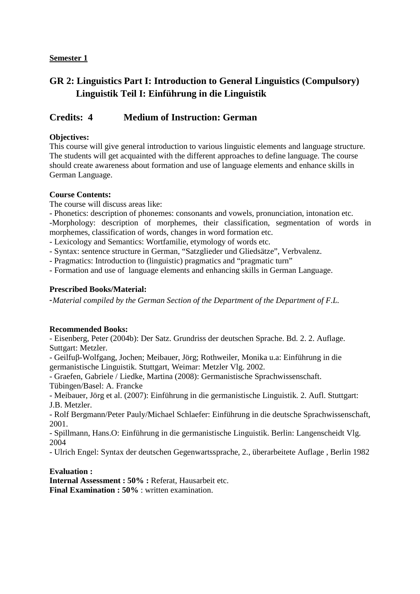# **GR 2: Linguistics Part I: Introduction to General Linguistics (Compulsory) Linguistik Teil I: Einführung in die Linguistik**

## **Credits: 4 Medium of Instruction: German**

### **Objectives:**

This course will give general introduction to various linguistic elements and language structure. The students will get acquainted with the different approaches to define language. The course should create awareness about formation and use of language elements and enhance skills in German Language.

### **Course Contents:**

The course will discuss areas like:

- Phonetics: description of phonemes: consonants and vowels, pronunciation, intonation etc. -Morphology: description of morphemes, their classification, segmentation of words in morphemes, classification of words, changes in word formation etc.

- Lexicology and Semantics: Wortfamilie, etymology of words etc.

- Syntax: sentence structure in German, "Satzglieder und Gliedsätze", Verbvalenz.

- Pragmatics: Introduction to (linguistic) pragmatics and "pragmatic turn"

- Formation and use of language elements and enhancing skills in German Language.

#### **Prescribed Books/Material:**

-*Material compiled by the German Section of the Department of the Department of F.L.* 

#### **Recommended Books:**

- Eisenberg, Peter (2004b): Der Satz. Grundriss der deutschen Sprache. Bd. 2. 2. Auflage. Suttgart: Metzler.

- Geilfuβ-Wolfgang, Jochen; Meibauer, Jörg; Rothweiler, Monika u.a: Einführung in die germanistische Linguistik. Stuttgart, Weimar: Metzler Vlg. 2002.

- Graefen, Gabriele / Liedke, Martina (2008): Germanistische Sprachwissenschaft. Tübingen/Basel: A. Francke

- Meibauer, Jörg et al. (2007): Einführung in die germanistische Linguistik. 2. Aufl. Stuttgart: J.B. Metzler.

- Rolf Bergmann/Peter Pauly/Michael Schlaefer: Einführung in die deutsche Sprachwissenschaft, 2001.

- Spillmann, Hans.O: Einführung in die germanistische Linguistik. Berlin: Langenscheidt Vlg. 2004

- Ulrich Engel: Syntax der deutschen Gegenwartssprache, 2., überarbeitete Auflage , Berlin 1982

#### **Evaluation :**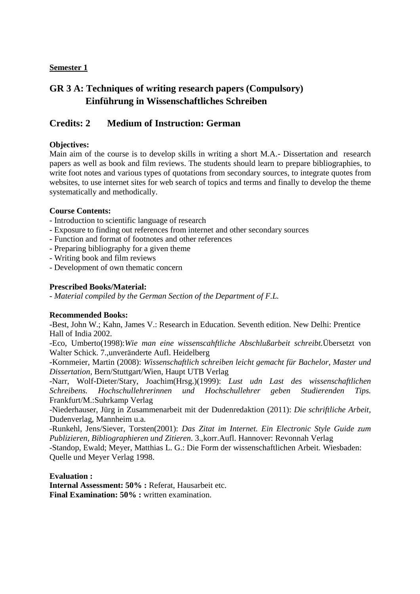# **GR 3 A: Techniques of writing research papers (Compulsory) Einführung in Wissenschaftliches Schreiben**

## **Credits: 2 Medium of Instruction: German**

### **Objectives:**

Main aim of the course is to develop skills in writing a short M.A.- Dissertation and research papers as well as book and film reviews. The students should learn to prepare bibliographies, to write foot notes and various types of quotations from secondary sources, to integrate quotes from websites, to use internet sites for web search of topics and terms and finally to develop the theme systematically and methodically.

#### **Course Contents:**

- Introduction to scientific language of research
- Exposure to finding out references from internet and other secondary sources
- Function and format of footnotes and other references
- Preparing bibliography for a given theme
- Writing book and film reviews
- Development of own thematic concern

#### **Prescribed Books/Material:**

*- Material compiled by the German Section of the Department of F.L.* 

#### **Recommended Books:**

-Best, John W.; Kahn, James V.: Research in Education. Seventh edition. New Delhi: Prentice Hall of India 2002.

-Eco, Umberto(1998):*Wie man eine wissenscahftliche Abschlußarbeit schreibt.*Übersetzt von Walter Schick. 7.,unveränderte Aufl. Heidelberg

-Kornmeier, Martin (2008): *Wissenschaftlich schreiben leicht gemacht für Bachelor, Master und Dissertation,* Bern/Stuttgart/Wien, Haupt UTB Verlag

-Narr, Wolf-Dieter/Stary, Joachim(Hrsg.)(1999): *Lust udn Last des wissenschaftlichen Schreibens. Hochschullehrerinnen und Hochschullehrer geben Studierenden Tips.* Frankfurt/M.:Suhrkamp Verlag

-Niederhauser, Jürg in Zusammenarbeit mit der Dudenredaktion (2011): *Die schriftliche Arbeit,* Dudenverlag, Mannheim u.a.

-Runkehl, Jens/Siever, Torsten(2001): *Das Zitat im Internet. Ein Electronic Style Guide zum Publizieren, Bibliographieren und Zitieren*. 3.,korr.Aufl. Hannover: Revonnah Verlag

-Standop, Ewald; Meyer, Matthias L. G.: Die Form der wissenschaftlichen Arbeit. Wiesbaden: Quelle und Meyer Verlag 1998.

#### **Evaluation :**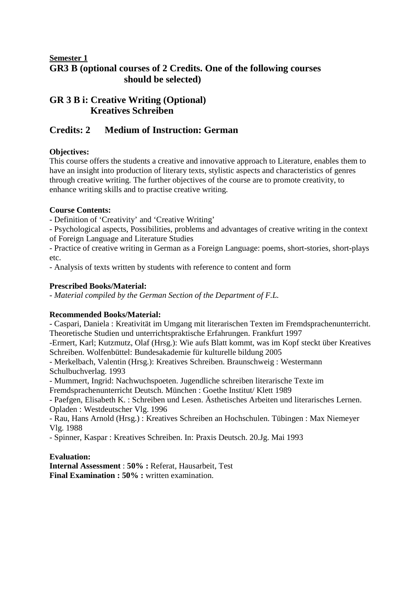## **Semester 1 GR3 B (optional courses of 2 Credits. One of the following courses should be selected)**

## **GR 3 B i: Creative Writing (Optional) Kreatives Schreiben**

## **Credits: 2 Medium of Instruction: German**

## **Objectives:**

This course offers the students a creative and innovative approach to Literature, enables them to have an insight into production of literary texts, stylistic aspects and characteristics of genres through creative writing. The further objectives of the course are to promote creativity, to enhance writing skills and to practise creative writing.

## **Course Contents:**

- Definition of 'Creativity' and 'Creative Writing'

- Psychological aspects, Possibilities, problems and advantages of creative writing in the context of Foreign Language and Literature Studies

- Practice of creative writing in German as a Foreign Language: poems, short-stories, short-plays etc.

- Analysis of texts written by students with reference to content and form

## **Prescribed Books/Material:**

*- Material compiled by the German Section of the Department of F.L.* 

## **Recommended Books/Material:**

- Caspari, Daniela : Kreativität im Umgang mit literarischen Texten im Fremdsprachenunterricht. Theoretische Studien und unterrichtspraktische Erfahrungen. Frankfurt 1997

-Ermert, Karl; Kutzmutz, Olaf (Hrsg.): Wie aufs Blatt kommt, was im Kopf steckt über Kreatives Schreiben. Wolfenbüttel: Bundesakademie für kulturelle bildung 2005

- Merkelbach, Valentin (Hrsg.): Kreatives Schreiben. Braunschweig : Westermann Schulbuchverlag. 1993

- Mummert, Ingrid: Nachwuchspoeten. Jugendliche schreiben literarische Texte im Fremdsprachenunterricht Deutsch. München : Goethe Institut/ Klett 1989

- Paefgen, Elisabeth K. : Schreiben und Lesen. Ästhetisches Arbeiten und literarisches Lernen. Opladen : Westdeutscher Vlg. 1996

- Rau, Hans Arnold (Hrsg.) : Kreatives Schreiben an Hochschulen. Tübingen : Max Niemeyer Vlg. 1988

- Spinner, Kaspar : Kreatives Schreiben. In: Praxis Deutsch. 20.Jg. Mai 1993

## **Evaluation:**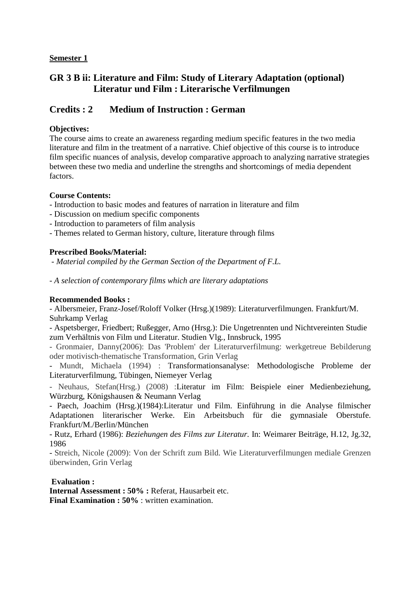## **GR 3 B ii: Literature and Film: Study of Literary Adaptation (optional) Literatur und Film : Literarische Verfilmungen**

## **Credits : 2 Medium of Instruction : German**

### **Objectives:**

The course aims to create an awareness regarding medium specific features in the two media literature and film in the treatment of a narrative. Chief objective of this course is to introduce film specific nuances of analysis, develop comparative approach to analyzing narrative strategies between these two media and underline the strengths and shortcomings of media dependent factors.

### **Course Contents:**

- Introduction to basic modes and features of narration in literature and film
- Discussion on medium specific components
- Introduction to parameters of film analysis
- Themes related to German history, culture, literature through films

### **Prescribed Books/Material:**

 *- Material compiled by the German Section of the Department of F.L.* 

*- A selection of contemporary films which are literary adaptations* 

#### **Recommended Books :**

- Albersmeier, Franz-Josef/Roloff Volker (Hrsg.)(1989): Literaturverfilmungen. Frankfurt/M. Suhrkamp Verlag

- Aspetsberger, Friedbert; Rußegger, Arno (Hrsg.): Die Ungetrennten und Nichtvereinten Studie zum Verhältnis von Film und Literatur. Studien Vlg., Innsbruck, 1995

- Gronmaier, Danny(2006): Das 'Problem' der Literaturverfilmung: werkgetreue Bebilderung oder motivisch-thematische Transformation, Grin Verlag

- Mundt, Michaela (1994) : Transformationsanalyse: Methodologische Probleme der Literaturverfilmung, Tübingen, Niemeyer Verlag

- Neuhaus, Stefan(Hrsg.) (2008) :Literatur im Film: Beispiele einer Medienbeziehung, Würzburg, Königshausen & Neumann Verlag

- Paech, Joachim (Hrsg.)(1984):Literatur und Film. Einführung in die Analyse filmischer Adaptationen literarischer Werke. Ein Arbeitsbuch für die gymnasiale Oberstufe. Frankfurt/M./Berlin/München

- Rutz, Erhard (1986): *Beziehungen des Films zur Literatur.* In: Weimarer Beiträge, H.12, Jg.32, 1986

- Streich, Nicole (2009): Von der Schrift zum Bild. Wie Literaturverfilmungen mediale Grenzen überwinden, Grin Verlag

#### **Evaluation :**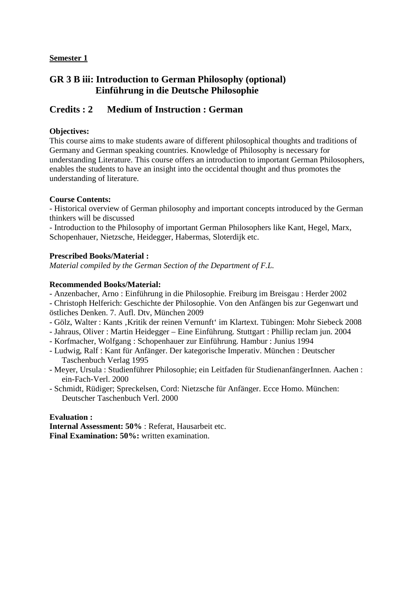## **GR 3 B iii: Introduction to German Philosophy (optional) Einführung in die Deutsche Philosophie**

## **Credits : 2 Medium of Instruction : German**

## **Objectives:**

This course aims to make students aware of different philosophical thoughts and traditions of Germany and German speaking countries. Knowledge of Philosophy is necessary for understanding Literature. This course offers an introduction to important German Philosophers, enables the students to have an insight into the occidental thought and thus promotes the understanding of literature.

#### **Course Contents:**

- Historical overview of German philosophy and important concepts introduced by the German thinkers will be discussed

- Introduction to the Philosophy of important German Philosophers like Kant, Hegel, Marx, Schopenhauer, Nietzsche, Heidegger, Habermas, Sloterdijk etc.

### **Prescribed Books/Material :**

*Material compiled by the German Section of the Department of F.L.* 

### **Recommended Books/Material:**

- Anzenbacher, Arno : Einführung in die Philosophie. Freiburg im Breisgau : Herder 2002

- Christoph Helferich: Geschichte der Philosophie. Von den Anfängen bis zur Gegenwart und östliches Denken. 7. Aufl. Dtv, München 2009

- Gölz, Walter : Kants 'Kritik der reinen Vernunft' im Klartext. Tübingen: Mohr Siebeck 2008
- Jahraus, Oliver : Martin Heidegger Eine Einführung. Stuttgart : Phillip reclam jun. 2004
- Korfmacher, Wolfgang : Schopenhauer zur Einführung. Hambur : Junius 1994
- Ludwig, Ralf : Kant für Anfänger. Der kategorische Imperativ. München : Deutscher Taschenbuch Verlag 1995
- Meyer, Ursula : Studienführer Philosophie; ein Leitfaden für StudienanfängerInnen. Aachen : ein-Fach-Verl. 2000
- Schmidt, Rüdiger; Spreckelsen, Cord: Nietzsche für Anfänger. Ecce Homo. München: Deutscher Taschenbuch Verl. 2000

#### **Evaluation :**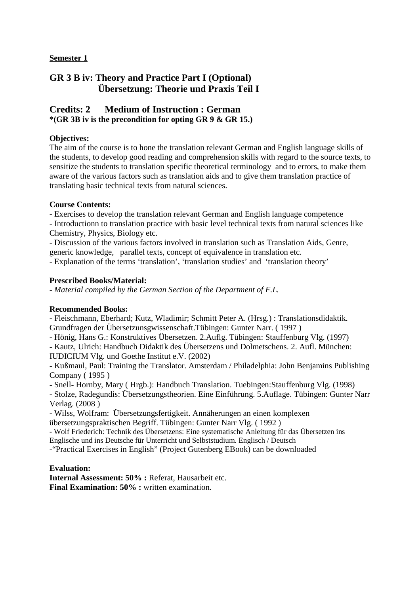## **GR 3 B iv: Theory and Practice Part I (Optional) Übersetzung: Theorie und Praxis Teil I**

## **Credits: 2 Medium of Instruction : German \*(GR 3B iv is the precondition for opting GR 9 & GR 15.)**

### **Objectives:**

The aim of the course is to hone the translation relevant German and English language skills of the students, to develop good reading and comprehension skills with regard to the source texts, to sensitize the students to translation specific theoretical terminology and to errors, to make them aware of the various factors such as translation aids and to give them translation practice of translating basic technical texts from natural sciences.

### **Course Contents:**

- Exercises to develop the translation relevant German and English language competence

- Introductionn to translation practice with basic level technical texts from natural sciences like Chemistry, Physics, Biology etc.

- Discussion of the various factors involved in translation such as Translation Aids, Genre, generic knowledge, parallel texts, concept of equivalence in translation etc.

- Explanation of the terms 'translation', 'translation studies' and 'translation theory'

### **Prescribed Books/Material:**

*- Material compiled by the German Section of the Department of F.L.* 

#### **Recommended Books:**

- Fleischmann, Eberhard; Kutz, Wladimir; Schmitt Peter A. (Hrsg.) : Translationsdidaktik. Grundfragen der Übersetzunsgwissenschaft.Tübingen: Gunter Narr. ( 1997 )

- Hönig, Hans G.: Konstruktives Übersetzen. 2.Auflg. Tübingen: Stauffenburg Vlg. (1997)

- Kautz, Ulrich: Handbuch Didaktik des Übersetzens und Dolmetschens. 2. Aufl. München: IUDICIUM Vlg. und Goethe Institut e.V. (2002)

- Kußmaul, Paul: Training the Translator. Amsterdam / Philadelphia: John Benjamins Publishing Company ( 1995 )

- Snell- Hornby, Mary ( Hrgb.): Handbuch Translation. Tuebingen:Stauffenburg Vlg. (1998)

- Stolze, Radegundis: Übersetzungstheorien. Eine Einführung. 5.Auflage. Tübingen: Gunter Narr Verlag. (2008 )

- Wilss, Wolfram: Übersetzungsfertigkeit. Annäherungen an einen komplexen übersetzungspraktischen Begriff. Tübingen: Gunter Narr Vlg. ( 1992 )

- Wolf Friederich: Technik des Übersetzens: Eine systematische Anleitung für das Übersetzen ins Englische und ins Deutsche für Unterricht und Selbststudium. Englisch / Deutsch

-"Practical Exercises in English" (Project Gutenberg EBook) can be downloaded

#### **Evaluation:**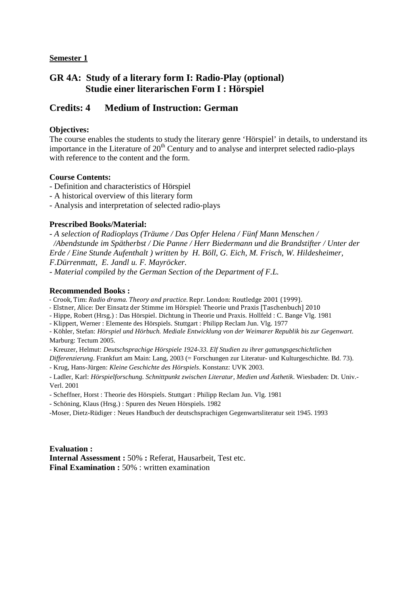## **GR 4A: Study of a literary form I: Radio-Play (optional) Studie einer literarischen Form I : Hörspiel**

## **Credits: 4 Medium of Instruction: German**

### **Objectives:**

The course enables the students to study the literary genre 'Hörspiel' in details, to understand its importance in the Literature of  $20<sup>th</sup>$  Century and to analyse and interpret selected radio-plays with reference to the content and the form.

#### **Course Contents:**

- Definition and characteristics of Hörspiel
- A historical overview of this literary form
- Analysis and interpretation of selected radio-plays

#### **Prescribed Books/Material:**

*- A selection of Radioplays (Träume / Das Opfer Helena / Fünf Mann Menschen / /Abendstunde im Spätherbst / Die Panne / Herr Biedermann und die Brandstifter / Unter der Erde / Eine Stunde Aufenthalt ) written by H. Böll, G. Eich, M. Frisch, W. Hildesheimer, F.Dürrenmatt, E. Jandl u. F. Mayröcker.* 

*- Material compiled by the German Section of the Department of F.L.* 

### **Recommended Books :**

- Crook, Tim: *Radio drama. Theory and practice*. Repr. London: Routledge 2001 (1999).

- Elstner, Alice: Der Einsatz der Stimme im Hörspiel: Theorie und Praxis [Taschenbuch] 2010
- Hippe, Robert (Hrsg.) : Das Hörspiel. Dichtung in Theorie und Praxis. Hollfeld : C. Bange Vlg. 1981
- Klippert, Werner : Elemente des Hörspiels. Stuttgart : Philipp Reclam Jun. Vlg. 1977

- Köhler, Stefan: *Hörspiel und Hörbuch. Mediale Entwicklung von der Weimarer Republik bis zur Gegenwart*. Marburg: Tectum 2005.

- Kreuzer, Helmut: *Deutschsprachige Hörspiele 1924-33. Elf Studien zu ihrer gattungsgeschichtlichen* 

*Differenzierung*. Frankfurt am Main: Lang, 2003 (= Forschungen zur Literatur- und Kulturgeschichte. Bd. 73).

- Krug, Hans-Jürgen: *Kleine Geschichte des Hörspiels*. Konstanz: UVK 2003.

- Ladler, Karl: *Hörspielforschung. Schnittpunkt zwischen Literatur, Medien und Ästhetik*. Wiesbaden: Dt. Univ.- Verl. 2001

- Scheffner, Horst : Theorie des Hörspiels. Stuttgart : Philipp Reclam Jun. Vlg. 1981
- Schöning, Klaus (Hrsg.) : Spuren des Neuen Hörspiels. 1982

-Moser, Dietz-Rüdiger : Neues Handbuch der deutschsprachigen Gegenwartsliteratur seit 1945. 1993

**Evaluation : Internal Assessment :** 50% **:** Referat, Hausarbeit, Test etc. **Final Examination : 50% : written examination**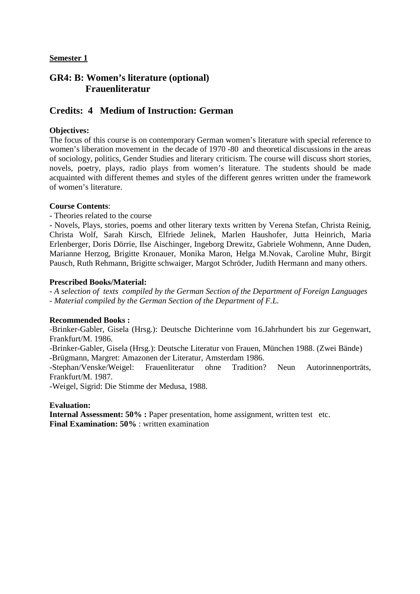## **GR4: B: Women's literature (optional) Frauenliteratur**

## **Credits: 4 Medium of Instruction: German**

### **Objectives:**

The focus of this course is on contemporary German women's literature with special reference to women's liberation movement in the decade of 1970 -80 and theoretical discussions in the areas of sociology, politics, Gender Studies and literary criticism. The course will discuss short stories, novels, poetry, plays, radio plays from women's literature. The students should be made acquainted with different themes and styles of the different genres written under the framework of women's literature.

#### **Course Contents**:

- Theories related to the course

- Novels, Plays, stories, poems and other literary texts written by Verena Stefan, Christa Reinig, Christa Wolf, Sarah Kirsch, Elfriede Jelinek, Marlen Haushofer, Jutta Heinrich, Maria Erlenberger, Doris Dörrie, Ilse Aischinger, Ingeborg Drewitz, Gabriele Wohmenn, Anne Duden, Marianne Herzog, Brigitte Kronauer, Monika Maron, Helga M.Novak, Caroline Muhr, Birgit Pausch, Ruth Rehmann, Brigitte schwaiger, Margot Schröder, Judith Hermann and many others.

#### **Prescribed Books/Material:**

*- A selection of texts compiled by the German Section of the Department of Foreign Languages - Material compiled by the German Section of the Department of F.L.* 

#### **Recommended Books :**

-Brinker-Gabler, Gisela (Hrsg.): Deutsche Dichterinne vom 16.Jahrhundert bis zur Gegenwart, Frankfurt/M. 1986.

-Brinker-Gabler, Gisela (Hrsg.): Deutsche Literatur von Frauen, München 1988. (Zwei Bände) -Brügmann, Margret: Amazonen der Literatur, Amsterdam 1986.

-Stephan/Venske/Weigel: Frauenliteratur ohne Tradition? Neun Autorinnenporträts, Frankfurt/M. 1987.

-Weigel, Sigrid: Die Stimme der Medusa, 1988.

#### **Evaluation:**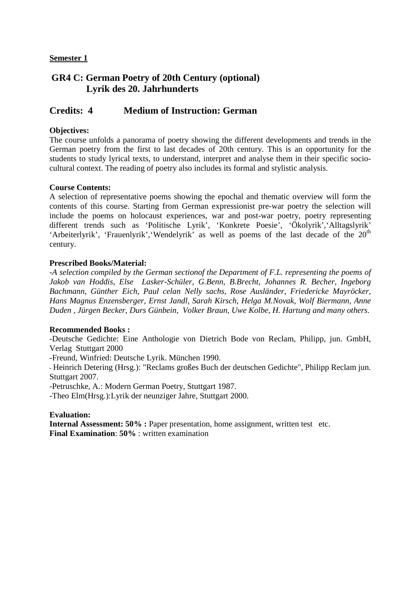## **GR4 C: German Poetry of 20th Century (optional) Lyrik des 20. Jahrhunderts**

## **Credits: 4 Medium of Instruction: German**

### **Objectives:**

The course unfolds a panorama of poetry showing the different developments and trends in the German poetry from the first to last decades of 20th century. This is an opportunity for the students to study lyrical texts, to understand, interpret and analyse them in their specific sociocultural context. The reading of poetry also includes its formal and stylistic analysis.

#### **Course Contents:**

A selection of representative poems showing the epochal and thematic overview will form the contents of this course. Starting from German expressionist pre-war poetry the selection will include the poems on holocaust experiences, war and post-war poetry, poetry representing different trends such as 'Politische Lyrik', 'Konkrete Poesie', 'Ökolyrik','Alltagslyrik' 'Arbeiterlyrik', 'Frauenlyrik', 'Wendelyrik' as well as poems of the last decade of the  $20<sup>th</sup>$ century.

#### **Prescribed Books/Material:**

-*A selection compiled by the German sectionof the Department of F.L. representing the poems of Jakob van Hoddis, Else Lasker-Schüler, G.Benn, B.Brecht, Johannes R. Becher, Ingeborg Bachmann, Günther Eich, Paul celan Nelly sachs, Rose Ausländer, Friedericke Mayröcker, Hans Magnus Enzensberger, Ernst Jandl, Sarah Kirsch, Helga M.Novak, Wolf Biermann, Anne Duden , Jürgen Becker, Durs Günbein, Volker Braun, Uwe Kolbe, H. Hartung and many others.* 

#### **Recommended Books :**

-Deutsche Gedichte: Eine Anthologie von Dietrich Bode von Reclam, Philipp, jun. GmbH, Verlag Stuttgart 2000

-Freund, Winfried: Deutsche Lyrik. München 1990.

- Heinrich Detering (Hrsg.): "Reclams großes Buch der deutschen Gedichte", Philipp Reclam jun. Stuttgart 2007.

-Petruschke, A.: Modern German Poetry, Stuttgart 1987.

-Theo Elm(Hrsg.):Lyrik der neunziger Jahre, Stuttgart 2000.

#### **Evaluation:**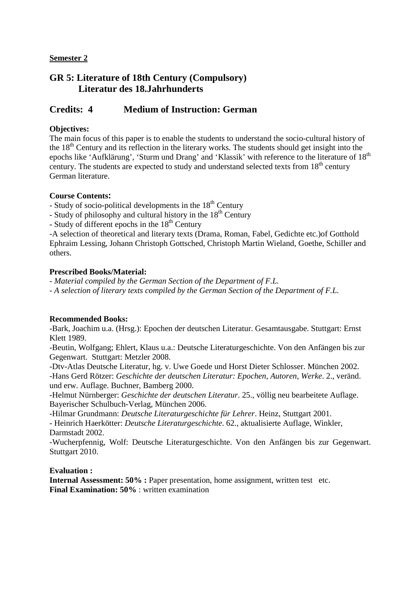## **GR 5: Literature of 18th Century (Compulsory) Literatur des 18.Jahrhunderts**

## **Credits: 4 Medium of Instruction: German**

### **Objectives:**

The main focus of this paper is to enable the students to understand the socio-cultural history of the 18<sup>th</sup> Century and its reflection in the literary works. The students should get insight into the epochs like 'Aufklärung', 'Sturm und Drang' and 'Klassik' with reference to the literature of 18<sup>th</sup> century. The students are expected to study and understand selected texts from  $18<sup>th</sup>$  century German literature.

### **Course Contents:**

- Study of socio-political developments in the  $18<sup>th</sup>$  Century

- Study of philosophy and cultural history in the 18<sup>th</sup> Century

 $-$  Study of different epochs in the  $18<sup>th</sup>$  Century

-A selection of theoretical and literary texts (Drama, Roman, Fabel, Gedichte etc.)of Gotthold Ephraim Lessing, Johann Christoph Gottsched, Christoph Martin Wieland, Goethe, Schiller and others.

### **Prescribed Books/Material:**

*- Material compiled by the German Section of the Department of F.L.* 

*- A selection of literary texts compiled by the German Section of the Department of F.L.* 

#### **Recommended Books:**

-Bark, Joachim u.a. (Hrsg.): Epochen der deutschen Literatur. Gesamtausgabe. Stuttgart: Ernst Klett 1989.

-Beutin, Wolfgang; Ehlert, Klaus u.a.: Deutsche Literaturgeschichte. Von den Anfängen bis zur Gegenwart. Stuttgart: Metzler 2008.

-Dtv-Atlas Deutsche Literatur, hg. v. Uwe Goede und Horst Dieter Schlosser. München 2002. -Hans Gerd Rötzer: *Geschichte der deutschen Literatur: Epochen, Autoren, Werke*. 2., veränd. und erw. Auflage. Buchner, Bamberg 2000.

-Helmut Nürnberger: *Geschichte der deutschen Literatur*. 25., völlig neu bearbeitete Auflage. Bayerischer Schulbuch-Verlag, München 2006.

-Hilmar Grundmann: *Deutsche Literaturgeschichte für Lehrer*. Heinz, Stuttgart 2001.

- Heinrich Haerkötter: *Deutsche Literaturgeschichte*. 62., aktualisierte Auflage, Winkler, Darmstadt 2002.

-Wucherpfennig, Wolf: Deutsche Literaturgeschichte. Von den Anfängen bis zur Gegenwart. Stuttgart 2010.

#### **Evaluation :**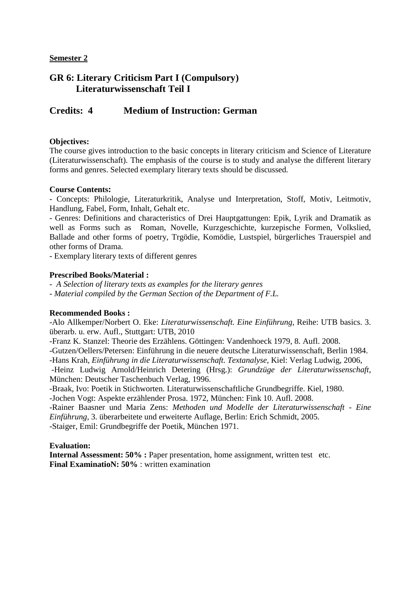## **GR 6: Literary Criticism Part I (Compulsory) Literaturwissenschaft Teil I**

## **Credits: 4 Medium of Instruction: German**

#### **Objectives:**

The course gives introduction to the basic concepts in literary criticism and Science of Literature (Literaturwissenschaft). The emphasis of the course is to study and analyse the different literary forms and genres. Selected exemplary literary texts should be discussed.

#### **Course Contents:**

- Concepts: Philologie, Literaturkritik, Analyse und Interpretation, Stoff, Motiv, Leitmotiv, Handlung, Fabel, Form, Inhalt, Gehalt etc.

- Genres: Definitions and characteristics of Drei Hauptgattungen: Epik, Lyrik and Dramatik as well as Forms such as Roman, Novelle, Kurzgeschichte, kurzepische Formen, Volkslied, Ballade and other forms of poetry, Trgödie, Komödie, Lustspiel, bürgerliches Trauerspiel and other forms of Drama.

- Exemplary literary texts of different genres

#### **Prescribed Books/Material :**

*- A Selection of literary texts as examples for the literary genres* 

*- Material compiled by the German Section of the Department of F.L.* 

#### **Recommended Books :**

-Alo Allkemper/Norbert O. Eke: *Literaturwissenschaft. Eine Einführung*, Reihe: UTB basics. 3. überarb. u. erw. Aufl., Stuttgart: UTB, 2010

-Franz K. Stanzel: Theorie des Erzählens. Göttingen: Vandenhoeck 1979, 8. Aufl. 2008.

-Gutzen/Oellers/Petersen: Einführung in die neuere deutsche Literaturwissenschaft, Berlin 1984.

-Hans Krah, *Einführung in die Literaturwissenschaft. Textanalyse*, Kiel: Verlag Ludwig, 2006,

 -Heinz Ludwig Arnold/Heinrich Detering (Hrsg.): *Grundzüge der Literaturwissenschaft*, München: Deutscher Taschenbuch Verlag, 1996.

-Braak, Ivo: Poetik in Stichworten. Literaturwissenschaftliche Grundbegriffe. Kiel, 1980.

-Jochen Vogt: Aspekte erzählender Prosa. 1972, München: Fink 10. Aufl. 2008.

-Rainer Baasner und Maria Zens: *Methoden und Modelle der Literaturwissenschaft - Eine Einführung*, 3. überarbeitete und erweiterte Auflage, Berlin: Erich Schmidt, 2005. -Staiger, Emil: Grundbegriffe der Poetik, München 1971.

#### **Evaluation:**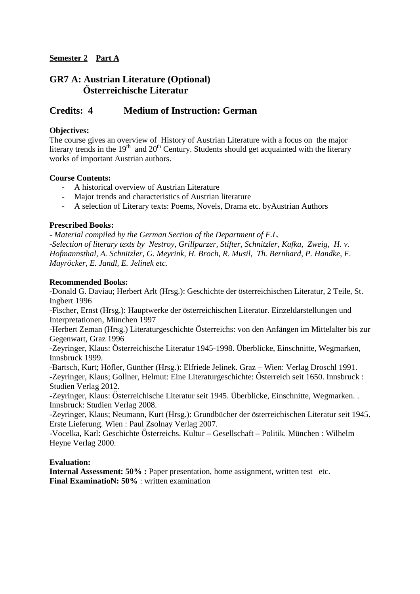## **GR7 A: Austrian Literature (Optional) İsterreichische Literatur**

## **Credits: 4 Medium of Instruction: German**

### **Objectives:**

The course gives an overview of History of Austrian Literature with a focus on the major literary trends in the  $19<sup>th</sup>$  and  $20<sup>th</sup>$  Century. Students should get acquainted with the literary works of important Austrian authors.

#### **Course Contents:**

- A historical overview of Austrian Literature
- Major trends and characteristics of Austrian literature
- A selection of Literary texts: Poems, Novels, Drama etc. byAustrian Authors

### **Prescribed Books:**

*- Material compiled by the German Section of the Department of F.L. -Selection of literary texts by Nestroy, Grillparzer, Stifter, Schnitzler, Kafka, Zweig, H. v. Hofmannsthal, A. Schnitzler, G. Meyrink, H. Broch, R. Musil, Th. Bernhard, P. Handke, F. Mayröcker, E. Jandl, E. Jelinek etc.* 

#### **Recommended Books:**

-Donald G. Daviau; Herbert Arlt (Hrsg.): Geschichte der österreichischen Literatur, 2 Teile, St. Ingbert 1996

-Fischer, Ernst (Hrsg.): Hauptwerke der österreichischen Literatur. Einzeldarstellungen und Interpretationen, München 1997

-Herbert Zeman (Hrsg.) Literaturgeschichte Österreichs: von den Anfängen im Mittelalter bis zur Gegenwart, Graz 1996

-Zeyringer, Klaus: Österreichische Literatur 1945-1998. Überblicke, Einschnitte, Wegmarken, Innsbruck 1999.

-Bartsch, Kurt; Höfler, Günther (Hrsg.): Elfriede Jelinek. Graz – Wien: Verlag Droschl 1991. -Zeyringer, Klaus; Gollner, Helmut: Eine Literaturgeschichte: Österreich seit 1650. Innsbruck : Studien Verlag 2012.

-Zeyringer, Klaus: Österreichische Literatur seit 1945. Überblicke, Einschnitte, Wegmarken. . Innsbruck: Studien Verlag 2008.

-Zeyringer, Klaus; Neumann, Kurt (Hrsg.): Grundbücher der österreichischen Literatur seit 1945. Erste Lieferung. Wien : Paul Zsolnay Verlag 2007.

 $-Vocelka$ , Karl: Geschichte Österreichs. Kultur – Gesellschaft – Politik. München : Wilhelm Heyne Verlag 2000.

#### **Evaluation:**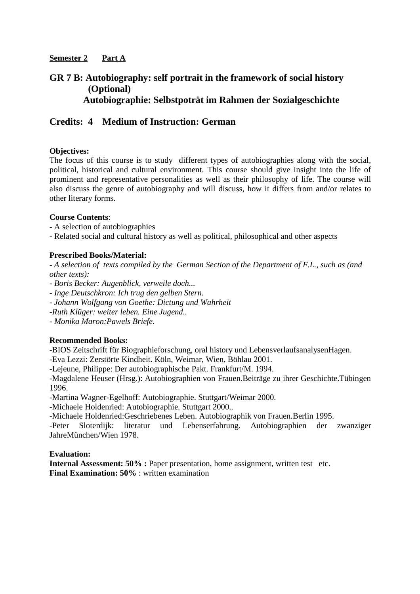## **GR 7 B: Autobiography: self portrait in the framework of social history (Optional) Autobiographie: Selbstpoträt im Rahmen der Sozialgeschichte**

## **Credits: 4 Medium of Instruction: German**

#### **Objectives:**

The focus of this course is to study different types of autobiographies along with the social, political, historical and cultural environment. This course should give insight into the life of prominent and representative personalities as well as their philosophy of life. The course will also discuss the genre of autobiography and will discuss, how it differs from and/or relates to other literary forms.

### **Course Contents**:

- A selection of autobiographies
- Related social and cultural history as well as political, philosophical and other aspects

### **Prescribed Books/Material:**

*- A selection of texts compiled by the German Section of the Department of F.L., such as (and other texts):* 

- *Boris Becker: Augenblick, verweile doch...*
- *Inge Deutschkron: Ich trug den gelben Stern.*
- *Johann Wolfgang von Goethe: Dictung und Wahrheit*
- *-Ruth Klüger: weiter leben. Eine Jugend..*
- *Monika Maron:Pawels Briefe.*

## **Recommended Books:**

-BIOS Zeitschrift für Biographieforschung, oral history und LebensverlaufsanalysenHagen.

-Eva Lezzi: Zerstörte Kindheit. Köln, Weimar, Wien, Böhlau 2001.

-Lejeune, Philippe: Der autobiographische Pakt. Frankfurt/M. 1994.

-Magdalene Heuser (Hrsg.): Autobiographien von Frauen.Beiträge zu ihrer Geschichte.Tübingen 1996.

-Martina Wagner-Egelhoff: Autobiographie. Stuttgart/Weimar 2000.

-Michaele Holdenried: Autobiographie. Stuttgart 2000..

-Michaele Holdenried:Geschriebenes Leben. Autobiographik von Frauen.Berlin 1995.

-Peter Sloterdijk: literatur und Lebenserfahrung. Autobiographien der zwanziger JahreMünchen/Wien 1978.

#### **Evaluation:**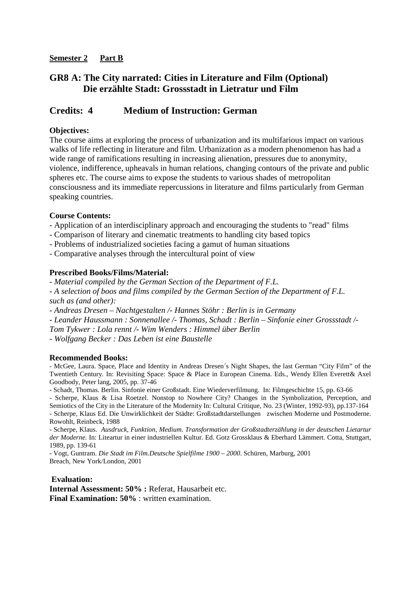### **Semester 2 Part B**

## **GR8 A: The City narrated: Cities in Literature and Film (Optional) Die erzählte Stadt: Grossstadt in Lietratur und Film**

## **Credits: 4 Medium of Instruction: German**

### **Objectives:**

The course aims at exploring the process of urbanization and its multifarious impact on various walks of life reflecting in literature and film. Urbanization as a modern phenomenon has had a wide range of ramifications resulting in increasing alienation, pressures due to anonymity, violence, indifference, upheavals in human relations, changing contours of the private and public spheres etc. The course aims to expose the students to various shades of metropolitan consciousness and its immediate repercussions in literature and films particularly from German speaking countries.

#### **Course Contents:**

- Application of an interdisciplinary approach and encouraging the students to "read" films
- Comparison of literary and cinematic treatments to handling city based topics
- Problems of industrialized societies facing a gamut of human situations
- Comparative analyses through the intercultural point of view

#### **Prescribed Books/Films/Material:**

*- Material compiled by the German Section of the Department of F.L.* 

*- A selection of boos and films compiled by the German Section of the Department of F.L. such as (and other):* 

*- Andreas Dresen – Nachtgestalten /- Hannes Stöhr : Berlin is in Germany* 

*- Leander Haussmann : Sonnenallee /- Thomas, Schadt : Berlin – Sinfonie einer Grossstadt /-* 

*Tom Tykwer : Lola rennt /- Wim Wenders : Himmel über Berlin* 

*- Wolfgang Becker : Das Leben ist eine Baustelle* 

#### **Recommended Books:**

- McGee, Laura. Space, Place and Identity in Andreas Dresen´s Night Shapes, the last German "City Film" of the Twentieth Century. In: Revisiting Space: Space & Place in European Cinema. Eds., Wendy Ellen Everett& Axel Goodbody, Peter lang, 2005, pp. 37-46

- Schadt, Thomas. Berlin. Sinfonie einer Großstadt. Eine Wiederverfilmung. In: Filmgeschichte 15, pp. 63-66

- Scherpe, Klaus & Lisa Roetzel. Nonstop to Nowhere City? Changes in the Symbolization, Perception, and Semiotics of the City in the Literature of the Modernity In: Cultural Critique, No. 23 (Winter, 1992-93), pp.137-164 - Scherpe, Klaus Ed. Die Unwirklichkeit der Städte: Großstadtdarstellungen zwischen Moderne und Postmoderne. Rowohlt, Reinbeck, 1988

- Scherpe, Klaus. *Ausdruck, Funktion, Medium. Transformation der Großstadterzählung in der deutschen Lietartur der Moderne.* In: Liteartur in einer industriellen Kultur. Ed. Gotz Grossklaus & Eberhard Lämmert. Cotta, Stuttgart, 1989, pp. 139-61

- Vogt, Guntram. *Die Stadt im Film.Deutsche Spielfilme 1900 – 2000*. Schüren, Marburg, 2001 Breach, New York/London, 2001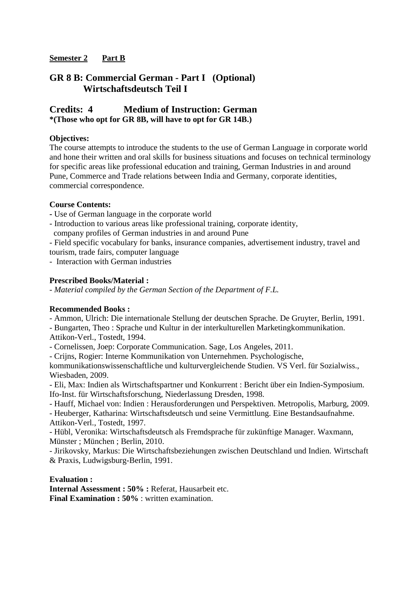## **Semester 2 Part B**

## **GR 8 B: Commercial German - Part I (Optional) Wirtschaftsdeutsch Teil I**

## **Credits: 4 Medium of Instruction: German \*(Those who opt for GR 8B, will have to opt for GR 14B.)**

### **Objectives:**

The course attempts to introduce the students to the use of German Language in corporate world and hone their written and oral skills for business situations and focuses on technical terminology for specific areas like professional education and training, German Industries in and around Pune, Commerce and Trade relations between India and Germany, corporate identities, commercial correspondence.

### **Course Contents:**

- Use of German language in the corporate world
- Introduction to various areas like professional training, corporate identity, company profiles of German industries in and around Pune

- Field specific vocabulary for banks, insurance companies, advertisement industry, travel and tourism, trade fairs, computer language

- Interaction with German industries

### **Prescribed Books/Material :**

*- Material compiled by the German Section of the Department of F.L.* 

#### **Recommended Books :**

- Ammon, Ulrich: Die internationale Stellung der deutschen Sprache. De Gruyter, Berlin, 1991.

- Bungarten, Theo : Sprache und Kultur in der interkulturellen Marketingkommunikation. Attikon-Verl., Tostedt, 1994.

- Cornelissen, Joep: Corporate Communication. Sage, Los Angeles, 2011.

- Crijns, Rogier: Interne Kommunikation von Unternehmen. Psychologische,

kommunikationswissenschaftliche und kulturvergleichende Studien. VS Verl. für Sozialwiss., Wiesbaden, 2009.

- Eli, Max: Indien als Wirtschaftspartner und Konkurrent : Bericht über ein Indien-Symposium. Ifo-Inst. für Wirtschaftsforschung, Niederlassung Dresden, 1998.

- Hauff, Michael von: Indien : Herausforderungen und Perspektiven. Metropolis, Marburg, 2009.

- Heuberger, Katharina: Wirtschaftsdeutsch und seine Vermittlung. Eine Bestandsaufnahme. Attikon-Verl., Tostedt, 1997.

- Hübl, Veronika: Wirtschaftsdeutsch als Fremdsprache für zukünftige Manager. Waxmann, Münster ; München ; Berlin, 2010.

- Jirikovsky, Markus: Die Wirtschaftsbeziehungen zwischen Deutschland und Indien. Wirtschaft & Praxis, Ludwigsburg-Berlin, 1991.

#### **Evaluation :**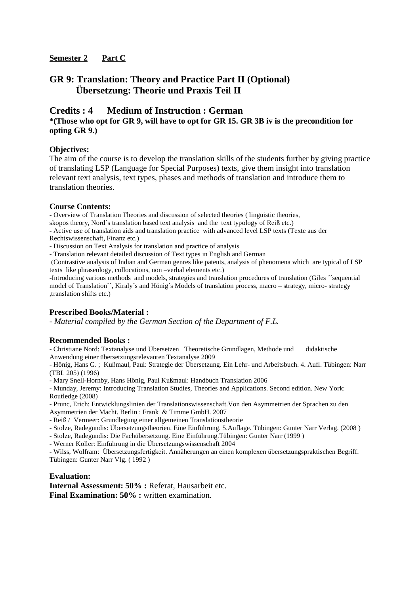### **Semester 2 Part C**

## **GR 9: Translation: Theory and Practice Part II (Optional) Übersetzung: Theorie und Praxis Teil II**

#### **Credits : 4 Medium of Instruction : German \*(Those who opt for GR 9, will have to opt for GR 15. GR 3B iv is the precondition for opting GR 9.)**

#### **Objectives:**

The aim of the course is to develop the translation skills of the students further by giving practice of translating LSP (Language for Special Purposes) texts, give them insight into translation relevant text analysis, text types, phases and methods of translation and introduce them to translation theories.

#### **Course Contents:**

**-** Overview of Translation Theories and discussion of selected theories ( linguistic theories,

skopos theory, Nord´s translation based text analysis and the text typology of Reiß etc.)

- Active use of translation aids and translation practice with advanced level LSP texts (Texte aus der Rechtswissenschaft, Finanz etc.)

- Discussion on Text Analysis for translation and practice of analysis

- Translation relevant detailed discussion of Text types in English and German

 (Contrastive analysis of Indian and German genres like patents, analysis of phenomena which are typical of LSP texts like phraseology, collocations, non –verbal elements etc.)

-Introducing various methods and models, strategies and translation procedures of translation (Giles ´´sequential model of Translation`´, Kiraly´s and Hönig´s Models of translation process, macro – strategy, micro- strategy ,translation shifts etc.)

#### **Prescribed Books/Material :**

*- Material compiled by the German Section of the Department of F.L.* 

#### **Recommended Books :**

- Christiane Nord: Textanalyse und Übersetzen Theoretische Grundlagen, Methode und didaktische Anwendung einer übersetzungsrelevanten Textanalyse 2009

- Hönig, Hans G. ; Kußmaul, Paul: Strategie der Übersetzung. Ein Lehr- und Arbeitsbuch. 4. Aufl. Tübingen: Narr (TBL 205) (1996)

- Mary Snell-Hornby, Hans Hönig, Paul Kußmaul: Handbuch Translation 2006

- Munday, Jeremy: Introducing Translation Studies, Theories and Applications. Second edition. New York: Routledge (2008)

- Prunc, Erich: Entwicklungslinien der Translationswissenschaft.Von den Asymmetrien der Sprachen zu den Asymmetrien der Macht. Berlin : Frank & Timme GmbH. 2007

- Reiß / Vermeer: Grundlegung einer allgemeinen Translationstheorie

- Stolze, Radegundis: Übersetzungstheorien. Eine Einführung. 5.Auflage. Tübingen: Gunter Narr Verlag. (2008 )
- Stolze, Radegundis: Die Fachübersetzung. Eine Einführung.Tübingen: Gunter Narr (1999 )
- Werner Koller: Einführung in die Übersetzungswissenschaft 2004

- Wilss, Wolfram: Übersetzungsfertigkeit. Annäherungen an einen komplexen übersetzungspraktischen Begriff. Tübingen: Gunter Narr Vlg. ( 1992 )

#### **Evaluation:**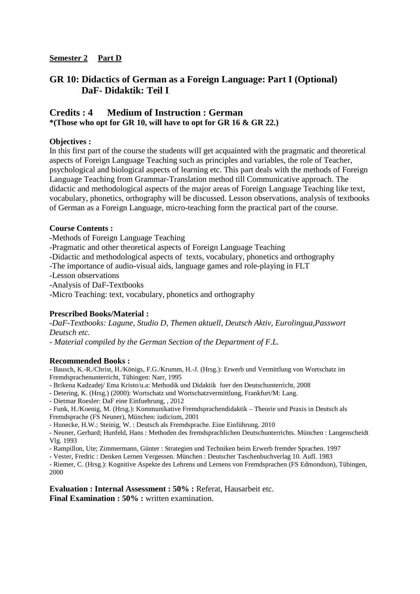#### **Semester 2 Part D**

## **GR 10: Didactics of German as a Foreign Language: Part I (Optional) DaF- Didaktik: Teil I**

## **Credits : 4 Medium of Instruction : German \*(Those who opt for GR 10, will have to opt for GR 16 & GR 22.)**

### **Objectives :**

In this first part of the course the students will get acquainted with the pragmatic and theoretical aspects of Foreign Language Teaching such as principles and variables, the role of Teacher, psychological and biological aspects of learning etc. This part deals with the methods of Foreign Language Teaching from Grammar-Translation method till Communicative approach. The didactic and methodological aspects of the major areas of Foreign Language Teaching like text, vocabulary, phonetics, orthography will be discussed. Lesson observations, analysis of textbooks of German as a Foreign Language, micro-teaching form the practical part of the course.

#### **Course Contents :**

-Methods of Foreign Language Teaching

-Pragmatic and other theoretical aspects of Foreign Language Teaching

-Didactic and methodological aspects of texts, vocabulary, phonetics and orthography

-The importance of audio-visual aids, language games and role-playing in FLT

-Lesson observations

-Analysis of DaF-Textbooks

-Micro Teaching: text, vocabulary, phonetics and orthography

## **Prescribed Books/Material :**

*-DaF-Textbooks: Lagune, Studio D, Themen aktuell, Deutsch Aktiv, Eurolingua,Passwort Deutsch etc.* 

*- Material compiled by the German Section of the Department of F.L.* 

#### **Recommended Books :**

- Bausch, K.-R./Christ, H./Königs, F.G./Krumm, H.-J. (Hrsg.): Erwerb und Vermittlung von Wortschatz im Fremdsprachenunterricht, Tübingen: Narr, 1995

- Brikena Kadzadej/ Ema Kristo/u.a: Methodik und Didaktik fuer den Deutschunterricht, 2008

- Detering, K. (Hrsg.) (2000): Wortschatz und Wortschatzvermittlung, Frankfurt/M: Lang.

- Dietmar Roesler: DaF eine Einfuehrung, , 2012

- Funk, H./Koenig, M. (Hrsg.): Kommunikative Fremdsprachendidaktik – Theorie und Praxis in Deutsch als Fremdsprache (FS Neuner), München: iudicium, 2001

- Hunecke, H.W.; Steinig, W. : Deutsch als Fremdsprache. Eine Einführung. 2010

- Neuner, Gerhard; Hunfeld, Hans : Methoden des fremdsprachlichen Deutschunterrichts. München : Langenscheidt Vlg. 1993

- Rampillon, Ute; Zimmermann, Günter : Strategien und Techniken beim Erwerb fremder Sprachen. 1997

- Vester, Fredric : Denken Lernen Vergessen. München : Deutscher Taschenbuchverlag 10. Aufl. 1983

- Riemer, C. (Hrsg.): Kognitive Aspekte des Lehrens und Lernens von Fremdsprachen (FS Edmondson), Tübingen, 2000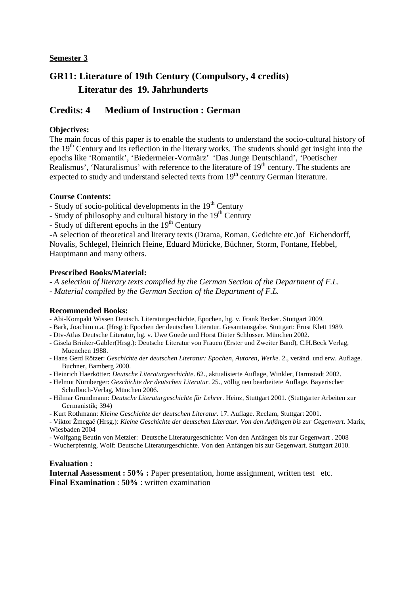# **GR11: Literature of 19th Century (Compulsory, 4 credits) Literatur des 19. Jahrhunderts**

## **Credits: 4 Medium of Instruction : German**

### **Objectives:**

The main focus of this paper is to enable the students to understand the socio-cultural history of the 19<sup>th</sup> Century and its reflection in the literary works. The students should get insight into the epochs like 'Romantik', 'Biedermeier-Vormärz' 'Das Junge Deutschland', 'Poetischer Realismus', 'Naturalismus' with reference to the literature of  $19<sup>th</sup>$  century. The students are expected to study and understand selected texts from  $19<sup>th</sup>$  century German literature.

#### **Course Contents:**

- Study of socio-political developments in the  $19<sup>th</sup>$  Century

- Study of philosophy and cultural history in the 19<sup>th</sup> Century
- $-$  Study of different epochs in the 19<sup>th</sup> Century

-A selection of theoretical and literary texts (Drama, Roman, Gedichte etc.)of Eichendorff, Novalis, Schlegel, Heinrich Heine, Eduard Möricke, Büchner, Storm, Fontane, Hebbel, Hauptmann and many others.

#### **Prescribed Books/Material:**

*- A selection of literary texts compiled by the German Section of the Department of F.L.* 

*- Material compiled by the German Section of the Department of F.L.* 

#### **Recommended Books:**

- Abi-Kompakt Wissen Deutsch. Literaturgeschichte, Epochen, hg. v. Frank Becker. Stuttgart 2009.
- Bark, Joachim u.a. (Hrsg.): Epochen der deutschen Literatur. Gesamtausgabe. Stuttgart: Ernst Klett 1989.
- Dtv-Atlas Deutsche Literatur, hg. v. Uwe Goede und Horst Dieter Schlosser. München 2002.
- Gisela Brinker-Gabler(Hrsg.): Deutsche Literatur von Frauen (Erster und Zweiter Band), C.H.Beck Verlag, Muenchen 1988.
- Hans Gerd Rötzer: *Geschichte der deutschen Literatur: Epochen, Autoren, Werke*. 2., veränd. und erw. Auflage. Buchner, Bamberg 2000.
- Heinrich Haerkötter: *Deutsche Literaturgeschichte*. 62., aktualisierte Auflage, Winkler, Darmstadt 2002.
- Helmut Nürnberger: *Geschichte der deutschen Literatur*. 25., völlig neu bearbeitete Auflage. Bayerischer Schulbuch-Verlag, München 2006.
- Hilmar Grundmann: *Deutsche Literaturgeschichte für Lehrer*. Heinz, Stuttgart 2001. (Stuttgarter Arbeiten zur Germanistik; 394)
- Kurt Rothmann: *Kleine Geschichte der deutschen Literatur*. 17. Auflage. Reclam, Stuttgart 2001.

- Viktor Žmegač (Hrsg.): *Kleine Geschichte der deutschen Literatur. Von den Anfängen bis zur Gegenwart*. Marix, Wiesbaden 2004

- Wolfgang Beutin von Metzler: Deutsche Literaturgeschichte: Von den Anfängen bis zur Gegenwart . 2008
- Wucherpfennig, Wolf: Deutsche Literaturgeschichte. Von den Anfängen bis zur Gegenwart. Stuttgart 2010.

#### **Evaluation :**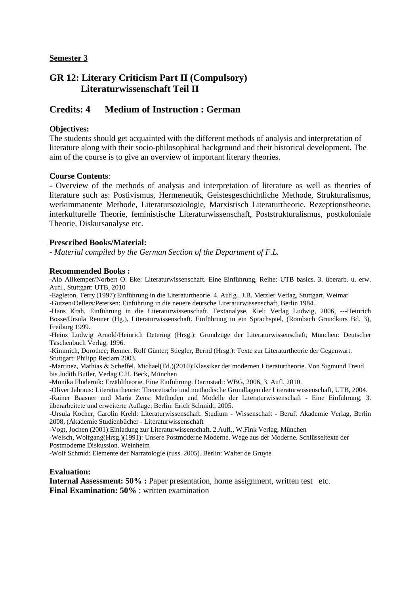## **GR 12: Literary Criticism Part II (Compulsory) Literaturwissenschaft Teil II**

## **Credits: 4 Medium of Instruction : German**

### **Objectives:**

The students should get acquainted with the different methods of analysis and interpretation of literature along with their socio-philosophical background and their historical development. The aim of the course is to give an overview of important literary theories.

#### **Course Contents**:

- Overview of the methods of analysis and interpretation of literature as well as theories of literature such as: Postivismus, Hermeneutik, Geistesgeschichtliche Methode, Strukturalismus, werkimmanente Methode, Literatursoziologie, Marxistisch Literaturtheorie, Rezeptionstheorie, interkulturelle Theorie, feministische Literaturwissenschaft, Poststrukturalismus, postkoloniale Theorie, Diskursanalyse etc.

#### **Prescribed Books/Material:**

*- Material compiled by the German Section of the Department of F.L.* 

#### **Recommended Books :**

-Alo Allkemper/Norbert O. Eke: Literaturwissenschaft. Eine Einführung, Reihe: UTB basics. 3. überarb. u. erw. Aufl., Stuttgart: UTB, 2010

-Eagleton, Terry (1997):Einführung in die Literaturtheorie. 4. Auflg., J.B. Metzler Verlag, Stuttgart, Weimar -Gutzen/Oellers/Petersen: Einführung in die neuere deutsche Literaturwissenschaft, Berlin 1984.

-Hans Krah, Einführung in die Literaturwissenschaft. Textanalyse, Kiel: Verlag Ludwig, 2006, ---Heinrich Bosse/Ursula Renner (Hg.), Literaturwissenschaft. Einführung in ein Sprachspiel, (Rombach Grundkurs Bd. 3), Freiburg 1999.

-Heinz Ludwig Arnold/Heinrich Detering (Hrsg.): Grundzüge der Literaturwissenschaft, München: Deutscher Taschenbuch Verlag, 1996.

-Kimmich, Dorothee; Renner, Rolf Günter; Stiegler, Bernd (Hrsg.): Texte zur Literaturtheorie der Gegenwart. Stuttgart: Philipp Reclam 2003.

-Martinez, Mathias & Scheffel, Michael(Ed.)(2010):Klassiker der modernen Literaturtheorie. Von Sigmund Freud bis Judith Butler, Verlag C.H. Beck, München

-Monika Fludernik: Erzähltheorie. Eine Einführung. Darmstadt: WBG, 2006, 3. Aufl. 2010.

-Oliver Jahraus: Literaturtheorie: Theoretische und methodische Grundlagen der Literaturwissenschaft, UTB, 2004.

-Rainer Baasner und Maria Zens: Methoden und Modelle der Literaturwissenschaft - Eine Einführung, 3. überarbeitete und erweiterte Auflage, Berlin: Erich Schmidt, 2005.

-Ursula Kocher, Carolin Krehl: Literaturwissenschaft. Studium - Wissenschaft - Beruf. Akademie Verlag, Berlin 2008, (Akademie Studienbücher - Literaturwissenschaft

-Vogt, Jochen (2001):Einladung zur Literaturwissenschaft. 2.Aufl., W.Fink Verlag, München

-Welsch, Wolfgang(Hrsg.)(1991): Unsere Postmoderne Moderne. Wege aus der Moderne. Schlüsseltexte der Postmoderne Diskussion. Weinheim

-Wolf Schmid: Elemente der Narratologie (russ. 2005). Berlin: Walter de Gruyte

#### **Evaluation:**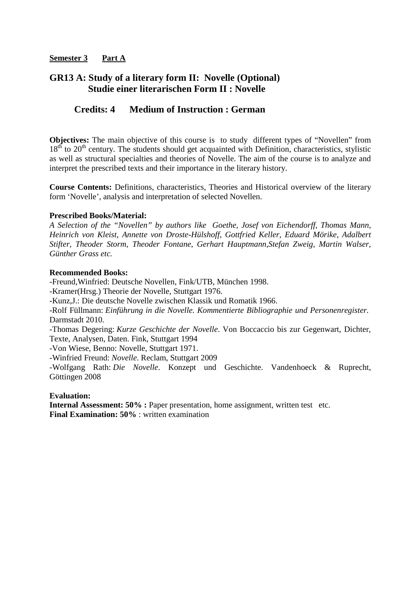## **GR13 A: Study of a literary form II: Novelle (Optional) Studie einer literarischen Form II : Novelle**

## **Credits: 4 Medium of Instruction : German**

**Objectives:** The main objective of this course is to study different types of "Novellen" from  $18<sup>th</sup>$  to  $20<sup>th</sup>$  century. The students should get acquainted with Definition, characteristics, stylistic as well as structural specialties and theories of Novelle. The aim of the course is to analyze and interpret the prescribed texts and their importance in the literary history.

**Course Contents:** Definitions, characteristics, Theories and Historical overview of the literary form 'Novelle', analysis and interpretation of selected Novellen.

#### **Prescribed Books/Material:**

*A Selection of the "Novellen" by authors like Goethe, Josef von Eichendorff, Thomas Mann, Heinrich von Kleist, Annette von Droste-Hülshoff, Gottfried Keller, Eduard Mörike, Adalbert Stifter, Theoder Storm, Theoder Fontane, Gerhart Hauptmann,Stefan Zweig, Martin Walser, Günther Grass etc.* 

#### **Recommended Books:**

-Freund,Winfried: Deutsche Novellen, Fink/UTB, München 1998. -Kramer(Hrsg.) Theorie der Novelle, Stuttgart 1976. -Kunz,J.: Die deutsche Novelle zwischen Klassik und Romatik 1966.

-Rolf Füllmann: *Einführung in die Novelle. Kommentierte Bibliographie und Personenregister.* Darmstadt 2010.

-Thomas Degering: *Kurze Geschichte der Novelle*. Von Boccaccio bis zur Gegenwart, Dichter, Texte, Analysen, Daten. Fink, Stuttgart 1994

-Von Wiese, Benno: Novelle, Stuttgart 1971.

-Winfried Freund: *Novelle*. Reclam, Stuttgart 2009

-Wolfgang Rath: *Die Novelle*. Konzept und Geschichte. Vandenhoeck & Ruprecht, Göttingen 2008

**Evaluation:**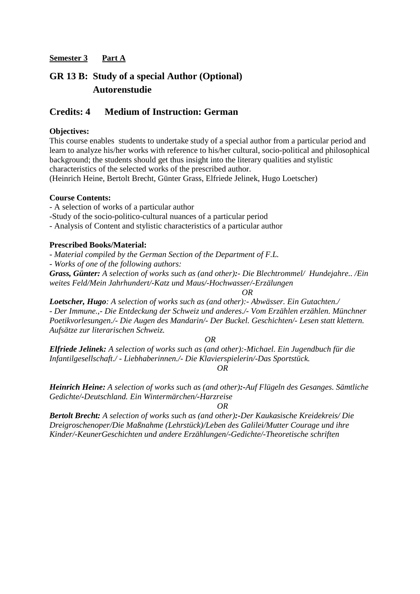# **GR 13 B: Study of a special Author (Optional) Autorenstudie**

## **Credits: 4 Medium of Instruction: German**

### **Objectives:**

This course enables students to undertake study of a special author from a particular period and learn to analyze his/her works with reference to his/her cultural, socio-political and philosophical background; the students should get thus insight into the literary qualities and stylistic characteristics of the selected works of the prescribed author.

(Heinrich Heine, Bertolt Brecht, Günter Grass, Elfriede Jelinek, Hugo Loetscher)

#### **Course Contents:**

- A selection of works of a particular author

-Study of the socio-politico-cultural nuances of a particular period

- Analysis of Content and stylistic characteristics of a particular author

### **Prescribed Books/Material:**

*- Material compiled by the German Section of the Department of F.L.* 

*- Works of one of the following authors:* 

*Grass, Günter: A selection of works such as (and other):- Die Blechtrommel/ Hundejahre.. /Ein weites Feld/Mein Jahrhundert/-Katz und Maus/-Hochwasser/-Erzälungen* 

*OR* 

*Loetscher, Hugo: A selection of works such as (and other):- Abwässer. Ein Gutachten./ - Der Immune.,- Die Entdeckung der Schweiz und anderes./- Vom Erzählen erzählen. Münchner Poetikvorlesungen./- Die Augen des Mandarin/- Der Buckel. Geschichten/- Lesen statt klettern. Aufsätze zur literarischen Schweiz.* 

*OR* 

*Elfriede Jelinek: A selection of works such as (and other):-Michael. Ein Jugendbuch für die Infantilgesellschaft./ - Liebhaberinnen./- Die Klavierspielerin/-Das Sportstück.* 

*OR* 

*Heinrich Heine: A selection of works such as (and other):-Auf Flügeln des Gesanges. Sämtliche Gedichte/-Deutschland. Ein Wintermärchen/-Harzreise*

*OR* 

*Bertolt Brecht: A selection of works such as (and other):-Der Kaukasische Kreidekreis/ Die Dreigroschenoper/Die Maßnahme (Lehrstück)/Leben des Galilei/Mutter Courage und ihre Kinder/-KeunerGeschichten und andere Erzählungen/-Gedichte/-Theoretische schriften*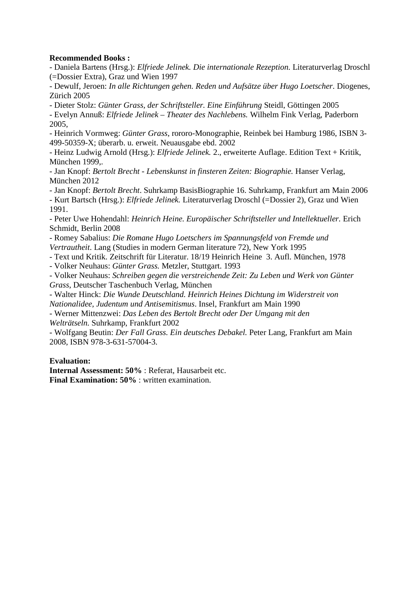### **Recommended Books :**

- Daniela Bartens (Hrsg.): *Elfriede Jelinek. Die internationale Rezeption.* Literaturverlag Droschl (=Dossier Extra), Graz und Wien 1997

- Dewulf, Jeroen: *In alle Richtungen gehen. Reden und Aufsätze über Hugo Loetscher*. Diogenes, Zürich 2005

- Dieter Stolz: *Günter Grass, der Schriftsteller. Eine Einführung* Steidl, Göttingen 2005

- Evelyn Annuß: *Elfriede Jelinek – Theater des Nachlebens.* Wilhelm Fink Verlag, Paderborn 2005,

- Heinrich Vormweg: *Günter Grass*, rororo-Monographie, Reinbek bei Hamburg 1986, ISBN 3- 499-50359-X; überarb. u. erweit. Neuausgabe ebd. 2002

- Heinz Ludwig Arnold (Hrsg.): *Elfriede Jelinek.* 2., erweiterte Auflage. Edition Text + Kritik, München 1999,.

- Jan Knopf: *Bertolt Brecht - Lebenskunst in finsteren Zeiten: Biographie.* Hanser Verlag, München 2012

- Jan Knopf: *Bertolt Brecht*. Suhrkamp BasisBiographie 16. Suhrkamp, Frankfurt am Main 2006

- Kurt Bartsch (Hrsg.): *Elfriede Jelinek.* Literaturverlag Droschl (=Dossier 2), Graz und Wien 1991.

- Peter Uwe Hohendahl: *Heinrich Heine. Europäischer Schriftsteller und Intellektueller.* Erich Schmidt, Berlin 2008

- Romey Sabalius: *Die Romane Hugo Loetschers im Spannungsfeld von Fremde und* 

*Vertrautheit*. Lang (Studies in modern German literature 72), New York 1995

- Text und Kritik. Zeitschrift für Literatur. 18/19 Heinrich Heine 3. Aufl. München, 1978

- Volker Neuhaus: *Günter Grass.* Metzler, Stuttgart. 1993

- Volker Neuhaus: *Schreiben gegen die verstreichende Zeit: Zu Leben und Werk von Günter Grass*, Deutscher Taschenbuch Verlag, München

- Walter Hinck: *Die Wunde Deutschland. Heinrich Heines Dichtung im Widerstreit von Nationalidee, Judentum und Antisemitismus*. Insel, Frankfurt am Main 1990

- Werner Mittenzwei: *Das Leben des Bertolt Brecht oder Der Umgang mit den Welträtseln.* Suhrkamp, Frankfurt 2002

- Wolfgang Beutin: *Der Fall Grass. Ein deutsches Debakel.* Peter Lang, Frankfurt am Main 2008, ISBN 978-3-631-57004-3.

#### **Evaluation:**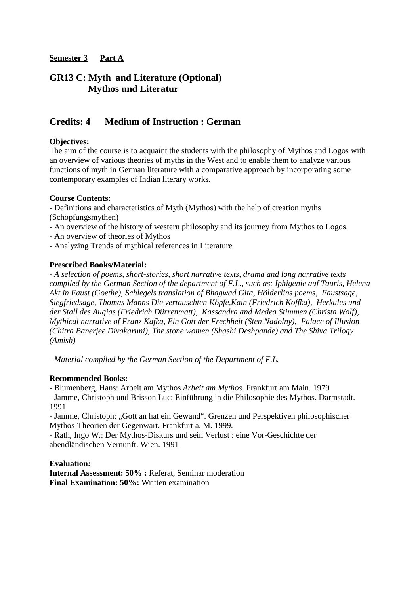## **GR13 C: Myth and Literature (Optional) Mythos und Literatur**

## **Credits: 4 Medium of Instruction : German**

### **Objectives:**

The aim of the course is to acquaint the students with the philosophy of Mythos and Logos with an overview of various theories of myths in the West and to enable them to analyze various functions of myth in German literature with a comparative approach by incorporating some contemporary examples of Indian literary works.

#### **Course Contents:**

- Definitions and characteristics of Myth (Mythos) with the help of creation myths (Schöpfungsmythen)

- An overview of the history of western philosophy and its journey from Mythos to Logos.
- An overview of theories of Mythos
- Analyzing Trends of mythical references in Literature

#### **Prescribed Books/Material:**

*- A selection of poems, short-stories, short narrative texts, drama and long narrative texts compiled by the German Section of the department of F.L., such as: Iphigenie auf Tauris, Helena Akt in Faust (Goethe), Schlegels translation of Bhagwad Gita, Hölderlins poems, Faustsage, Siegfriedsage, Thomas Manns Die vertauschten Köpfe,Kain (Friedrich Koffka), Herkules und der Stall des Augias (Friedrich Dürrenmatt), Kassandra and Medea Stimmen (Christa Wolf), Mythical narrative of Franz Kafka, Ein Gott der Frechheit (Sten Nadolny), Palace of Illusion (Chitra Banerjee Divakaruni), The stone women (Shashi Deshpande) and The Shiva Trilogy (Amish)* 

*- Material compiled by the German Section of the Department of F.L.* 

#### **Recommended Books:**

- Blumenberg, Hans: Arbeit am Mythos *Arbeit am Mythos*. Frankfurt am Main. 1979

- Jamme, Christoph und Brisson Luc: Einführung in die Philosophie des Mythos. Darmstadt. 1991

- Jamme, Christoph: "Gott an hat ein Gewand". Grenzen und Perspektiven philosophischer Mythos-Theorien der Gegenwart. Frankfurt a. M. 1999.

- Rath, Ingo W.: Der Mythos-Diskurs und sein Verlust : eine Vor-Geschichte der abendländischen Vernunft. Wien. 1991

#### **Evaluation:**

**Internal Assessment: 50% :** Referat, Seminar moderation **Final Examination: 50%:** Written examination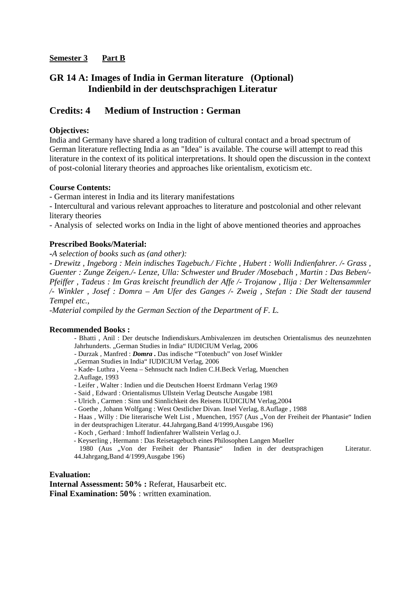### **Semester 3 Part B**

## **GR 14 A: Images of India in German literature (Optional) Indienbild in der deutschsprachigen Literatur**

## **Credits: 4 Medium of Instruction : German**

### **Objectives:**

India and Germany have shared a long tradition of cultural contact and a broad spectrum of German literature reflecting India as an "Idea" is available. The course will attempt to read this literature in the context of its political interpretations. It should open the discussion in the context of post-colonial literary theories and approaches like orientalism, exoticism etc.

#### **Course Contents:**

- German interest in India and its literary manifestations

- Intercultural and various relevant approaches to literature and postcolonial and other relevant literary theories

- Analysis of selected works on India in the light of above mentioned theories and approaches

#### **Prescribed Books/Material:**

**-***A selection of books such as (and other):* 

*- Drewitz , Ingeborg : Mein indisches Tagebuch./ Fichte , Hubert : Wolli Indienfahrer. /- Grass , Guenter : Zunge Zeigen./- Lenze, Ulla: Schwester und Bruder /Mosebach , Martin : Das Beben/- Pfeiffer , Tadeus : Im Gras kreischt freundlich der Affe /- Trojanow , Ilija : Der Weltensammler /- Winkler , Josef : Domra – Am Ufer des Ganges /- Zweig , Stefan : Die Stadt der tausend Tempel etc.,*

*-Material compiled by the German Section of the Department of F. L.* 

#### **Recommended Books :**

- Bhatti , Anil : Der deutsche Indiendiskurs.Ambivalenzen im deutschen Orientalismus des neunzehnten Jahrhunderts. "German Studies in India" IUDICIUM Verlag, 2006
- Durzak , Manfred : *Domra .* Das indische "Totenbuch" von Josef Winkler
- "German Studies in India" IUDICIUM Verlag, 2006
- Kade- Luthra , Veena Sehnsucht nach Indien C.H.Beck Verlag, Muenchen

2.Auflage, 1993

- Leifer , Walter : Indien und die Deutschen Hoerst Erdmann Verlag 1969
- Said , Edward : Orientalismus Ullstein Verlag Deutsche Ausgabe 1981
- Ulrich , Carmen : Sinn und Sinnlichkeit des Reisens IUDICIUM Verlag,2004
- Goethe , Johann Wolfgang : West Oestlicher Divan. Insel Verlag, 8.Auflage , 1988
- Haas, Willy: Die literarische Welt List, Muenchen, 1957 (Aus "Von der Freiheit der Phantasie" Indien in der deutsprachigen Literatur. 44.Jahrgang,Band 4/1999,Ausgabe 196)
- Koch , Gerhard : Imhoff Indienfahrer Wallstein Verlag o.J.
- Keyserling , Hermann : Das Reisetagebuch eines Philosophen Langen Mueller

1980 (Aus "Von der Freiheit der Phantasie" Indien in der deutsprachigen Literatur. 44.Jahrgang,Band 4/1999,Ausgabe 196)

#### **Evaluation:**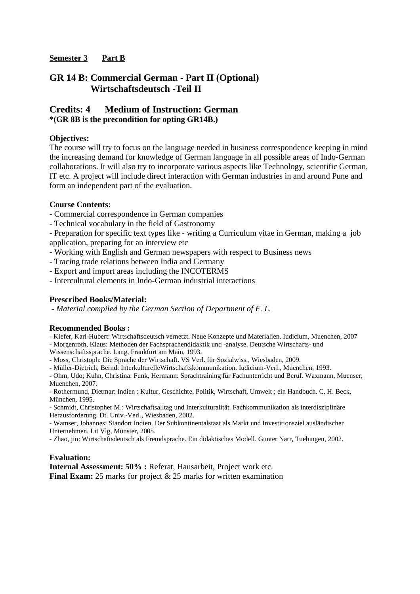### **Semester 3 Part B**

## **GR 14 B: Commercial German - Part II (Optional) Wirtschaftsdeutsch -Teil II**

## **Credits: 4 Medium of Instruction: German \*(GR 8B is the precondition for opting GR14B.)**

### **Objectives:**

The course will try to focus on the language needed in business correspondence keeping in mind the increasing demand for knowledge of German language in all possible areas of Indo-German collaborations. It will also try to incorporate various aspects like Technology, scientific German, IT etc. A project will include direct interaction with German industries in and around Pune and form an independent part of the evaluation.

### **Course Contents:**

- Commercial correspondence in German companies

- Technical vocabulary in the field of Gastronomy

- Preparation for specific text types like - writing a Curriculum vitae in German, making a job application, preparing for an interview etc

- Working with English and German newspapers with respect to Business news
- Tracing trade relations between India and Germany
- Export and import areas including the INCOTERMS
- Intercultural elements in Indo-German industrial interactions

### **Prescribed Books/Material:**

 *- Material compiled by the German Section of Department of F. L.* 

#### **Recommended Books :**

- Kiefer, Karl-Hubert: Wirtschaftsdeutsch vernetzt. Neue Konzepte und Materialien. Iudicium, Muenchen, 2007

- Morgenroth, Klaus: Methoden der Fachsprachendidaktik und -analyse. Deutsche Wirtschafts- und

Wissenschaftssprache. Lang, Frankfurt am Main, 1993.

- Moss, Christoph: Die Sprache der Wirtschaft. VS Verl. für Sozialwiss., Wiesbaden, 2009.

- Müller-Dietrich, Bernd: InterkulturelleWirtschaftskommunikation. Iudicium-Verl., Muenchen, 1993.

- Ohm, Udo; Kuhn, Christina: Funk, Hermann: Sprachtraining für Fachunterricht und Beruf. Waxmann, Muenser; Muenchen, 2007.

- Rothermund, Dietmar: Indien : Kultur, Geschichte, Politik, Wirtschaft, Umwelt ; ein Handbuch. C. H. Beck, München, 1995.

- Schmidt, Christopher M.: Wirtschaftsalltag und Interkulturalität. Fachkommunikation als interdisziplinäre Herausforderung. Dt. Univ.-Verl., Wiesbaden, 2002.

- Wamser, Johannes: Standort Indien. Der Subkontinentalstaat als Markt und Investitionsziel ausländischer Unternehmen. Lit Vlg, Münster, 2005.

- Zhao, jin: Wirtschaftsdeutsch als Fremdsprache. Ein didaktisches Modell. Gunter Narr, Tuebingen, 2002.

#### **Evaluation:**

**Internal Assessment: 50% :** Referat, Hausarbeit, Project work etc. **Final Exam:** 25 marks for project & 25 marks for written examination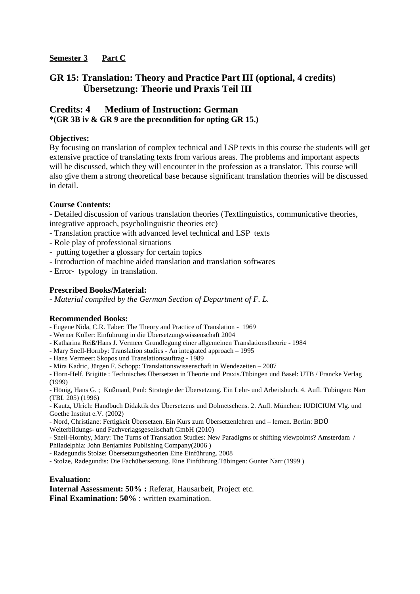## **Semester 3 Part C**

## **GR 15: Translation: Theory and Practice Part III (optional, 4 credits) Übersetzung: Theorie und Praxis Teil III**

## **Credits: 4 Medium of Instruction: German \*(GR 3B iv & GR 9 are the precondition for opting GR 15.)**

### **Objectives:**

By focusing on translation of complex technical and LSP texts in this course the students will get extensive practice of translating texts from various areas. The problems and important aspects will be discussed, which they will encounter in the profession as a translator. This course will also give them a strong theoretical base because significant translation theories will be discussed in detail.

### **Course Contents:**

- Detailed discussion of various translation theories (Textlinguistics, communicative theories, integrative approach, psycholinguistic theories etc)

- Translation practice with advanced level technical and LSP texts

- Role play of professional situations
- putting together a glossary for certain topics
- Introduction of machine aided translation and translation softwares

- Error- typology in translation.

### **Prescribed Books/Material:**

*- Material compiled by the German Section of Department of F. L.* 

#### **Recommended Books:**

- Eugene Nida, C.R. Taber: The Theory and Practice of Translation 1969
- Werner Koller: Einführung in die Übersetzungswissenschaft 2004
- Katharina Reiß/Hans J. Vermeer Grundlegung einer allgemeinen Translationstheorie 1984
- Mary Snell-Hornby: Translation studies An integrated approach 1995
- Hans Vermeer: Skopos und Translationsauftrag 1989

- Mira Kadric, Jürgen F. Schopp: Translationswissenschaft in Wendezeiten – 2007

- Horn-Helf, Brigitte : Technisches Übersetzen in Theorie und Praxis.Tübingen und Basel: UTB / Francke Verlag (1999)

- Hönig, Hans G. ; Kußmaul, Paul: Strategie der Übersetzung. Ein Lehr- und Arbeitsbuch. 4. Aufl. Tübingen: Narr (TBL 205) (1996)

- Kautz, Ulrich: Handbuch Didaktik des Übersetzens und Dolmetschens. 2. Aufl. München: IUDICIUM Vlg. und Goethe Institut e.V. (2002)

- Nord, Christiane: Fertigkeit Übersetzen. Ein Kurs zum Übersetzenlehren und – lernen. Berlin: BDÜ Weiterbildungs- und Fachverlagsgesellschaft GmbH (2010)

- Snell-Hornby, Mary: The Turns of Translation Studies: New Paradigms or shifting viewpoints? Amsterdam / Philadelphia: John Benjamins Publishing Company(2006 )

- Radegundis Stolze: Übersetzungstheorien Eine Einführung. 2008

- Stolze, Radegundis: Die Fachübersetzung. Eine Einführung.Tübingen: Gunter Narr (1999 )

#### **Evaluation:**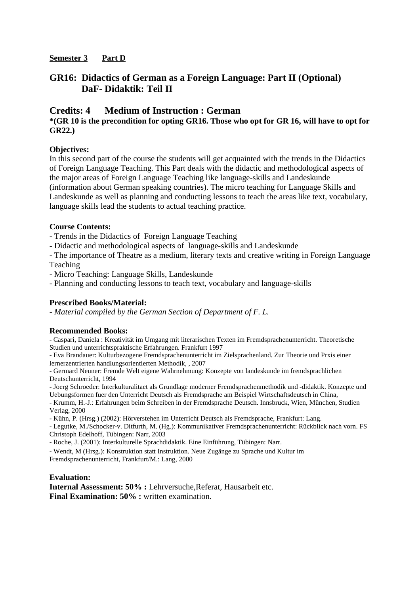### **Semester 3 Part D**

## **GR16: Didactics of German as a Foreign Language: Part II (Optional) DaF- Didaktik: Teil II**

## **Credits: 4 Medium of Instruction : German**

### **\*(GR 10 is the precondition for opting GR16. Those who opt for GR 16, will have to opt for GR22.)**

#### **Objectives:**

In this second part of the course the students will get acquainted with the trends in the Didactics of Foreign Language Teaching. This Part deals with the didactic and methodological aspects of the major areas of Foreign Language Teaching like language-skills and Landeskunde (information about German speaking countries). The micro teaching for Language Skills and Landeskunde as well as planning and conducting lessons to teach the areas like text, vocabulary, language skills lead the students to actual teaching practice.

### **Course Contents:**

- Trends in the Didactics of Foreign Language Teaching

- Didactic and methodological aspects of language-skills and Landeskunde

- The importance of Theatre as a medium, literary texts and creative writing in Foreign Language Teaching

- Micro Teaching: Language Skills, Landeskunde

- Planning and conducting lessons to teach text, vocabulary and language-skills

## **Prescribed Books/Material:**

*- Material compiled by the German Section of Department of F. L.* 

#### **Recommended Books:**

- Caspari, Daniela : Kreativität im Umgang mit literarischen Texten im Fremdsprachenunterricht. Theoretische Studien und unterrichtspraktische Erfahrungen. Frankfurt 1997

- Eva Brandauer: Kulturbezogene Fremdsprachenunterricht im Zielsprachenland. Zur Theorie und Prxis einer lernerzentrierten handlungsorientierten Methodik, , 2007

- Germard Neuner: Fremde Welt eigene Wahrnehmung: Konzepte von landeskunde im fremdsprachlichen Deutschunterricht, 1994

- Joerg Schroeder: Interkulturalitaet als Grundlage moderner Fremdsprachenmethodik und -didaktik. Konzepte und Uebungsformen fuer den Unterricht Deutsch als Fremdsprache am Beispiel Wirtschaftsdeutsch in China,

- Krumm, H.-J.: Erfahrungen beim Schreiben in der Fremdsprache Deutsch. Innsbruck, Wien, München, Studien Verlag, 2000

- Kühn, P. (Hrsg.) (2002): Hörverstehen im Unterricht Deutsch als Fremdsprache, Frankfurt: Lang.

- Legutke, M./Schocker-v. Ditfurth, M. (Hg.): Kommunikativer Fremdsprachenunterricht: Rückblick nach vorn. FS Christoph Edelhoff, Tübingen: Narr, 2003

- Roche, J. (2001): Interkulturelle Sprachdidaktik. Eine Einführung, Tübingen: Narr.

- Wendt, M (Hrsg.): Konstruktion statt Instruktion. Neue Zugänge zu Sprache und Kultur im Fremdsprachenunterricht, Frankfurt/M.: Lang, 2000

#### **Evaluation:**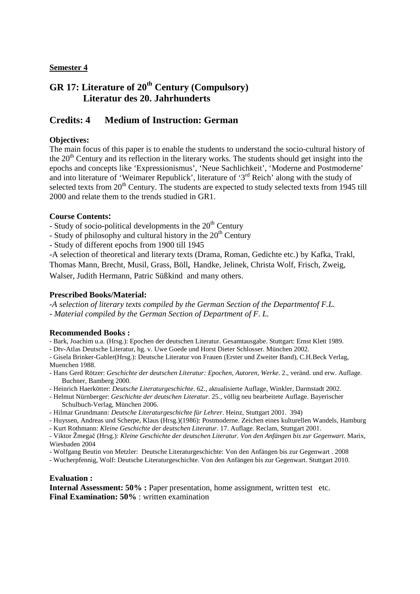# **GR 17: Literature of 20th Century (Compulsory) Literatur des 20. Jahrhunderts**

## **Credits: 4 Medium of Instruction: German**

### **Objectives:**

The main focus of this paper is to enable the students to understand the socio-cultural history of the  $20<sup>th</sup>$  Century and its reflection in the literary works. The students should get insight into the epochs and concepts like 'Expressionismus', 'Neue Sachlichkeit', 'Moderne and Postmoderne' and into literature of 'Weimarer Republick', literature of '3rd Reich' along with the study of selected texts from 20<sup>th</sup> Century. The students are expected to study selected texts from 1945 till 2000 and relate them to the trends studied in GR1.

#### **Course Contents:**

- Study of socio-political developments in the  $20<sup>th</sup>$  Century

- Study of philosophy and cultural history in the  $20<sup>th</sup>$  Century

- Study of different epochs from 1900 till 1945

-A selection of theoretical and literary texts (Drama, Roman, Gedichte etc.) by Kafka, Trakl,

Thomas Mann, Brecht, Musil, Grass, Böll, Handke, Jelinek, Christa Wolf, Frisch, Zweig,

Walser, Judith Hermann, Patric Süßkind and many others.

#### **Prescribed Books/Material:**

*-A selection of literary texts compiled by the German Section of the Departmentof F.L. - Material compiled by the German Section of Department of F. L.* 

#### **Recommended Books :**

- Bark, Joachim u.a. (Hrsg.): Epochen der deutschen Literatur. Gesamtausgabe. Stuttgart: Ernst Klett 1989.

- Dtv-Atlas Deutsche Literatur, hg. v. Uwe Goede und Horst Dieter Schlosser. München 2002.

- Gisela Brinker-Gabler(Hrsg.): Deutsche Literatur von Frauen (Erster und Zweiter Band), C.H.Beck Verlag, Muenchen 1988.

- Hans Gerd Rötzer: *Geschichte der deutschen Literatur: Epochen, Autoren, Werke*. 2., veränd. und erw. Auflage. Buchner, Bamberg 2000.
- Heinrich Haerkötter: *Deutsche Literaturgeschichte*. 62., aktualisierte Auflage, Winkler, Darmstadt 2002.
- Helmut Nürnberger: *Geschichte der deutschen Literatur*. 25., völlig neu bearbeitete Auflage. Bayerischer Schulbuch-Verlag, München 2006.
- Hilmar Grundmann: *Deutsche Literaturgeschichte für Lehrer*. Heinz, Stuttgart 2001. 394)

- Huyssen, Andreas und Scherpe, Klaus (Hrsg.)(1986): Postmoderne. Zeichen eines kulturellen Wandels, Hamburg

- Kurt Rothmann: *Kleine Geschichte der deutschen Literatur*. 17. Auflage. Reclam, Stuttgart 2001.

- Viktor Žmegač (Hrsg.): *Kleine Geschichte der deutschen Literatur. Von den Anfängen bis zur Gegenwart*. Marix, Wiesbaden 2004

- Wolfgang Beutin von Metzler: Deutsche Literaturgeschichte: Von den Anfängen bis zur Gegenwart . 2008

- Wucherpfennig, Wolf: Deutsche Literaturgeschichte. Von den Anfängen bis zur Gegenwart. Stuttgart 2010.

#### **Evaluation :**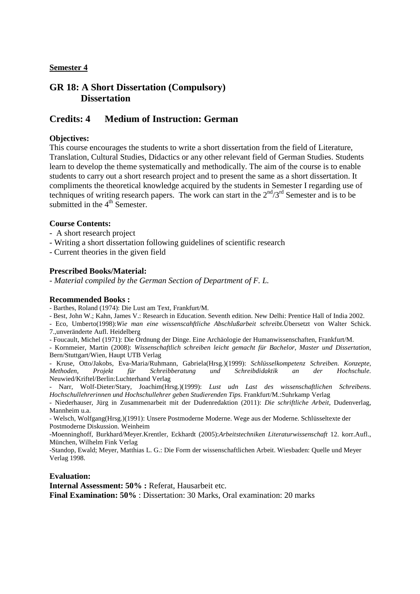## **GR 18: A Short Dissertation (Compulsory) Dissertation**

## **Credits: 4 Medium of Instruction: German**

### **Objectives:**

This course encourages the students to write a short dissertation from the field of Literature, Translation, Cultural Studies, Didactics or any other relevant field of German Studies. Students learn to develop the theme systematically and methodically. The aim of the course is to enable students to carry out a short research project and to present the same as a short dissertation. It compliments the theoretical knowledge acquired by the students in Semester I regarding use of techniques of writing research papers. The work can start in the  $2<sup>nd</sup>/3<sup>rd</sup>$  Semester and is to be submitted in the  $4<sup>th</sup>$  Semester.

#### **Course Contents:**

- A short research project
- Writing a short dissertation following guidelines of scientific research

- Current theories in the given field

#### **Prescribed Books/Material:**

*- Material compiled by the German Section of Department of F. L.* 

#### **Recommended Books :**

- Barthes, Roland (1974): Die Lust am Text, Frankfurt/M.

- Best, John W.; Kahn, James V.: Research in Education. Seventh edition. New Delhi: Prentice Hall of India 2002.

- Eco, Umberto(1998):*Wie man eine wissenscahftliche Abschlußarbeit schreibt.*Übersetzt von Walter Schick. 7.,unveränderte Aufl. Heidelberg

- Foucault, Michel (1971): Die Ordnung der Dinge. Eine Archäologie der Humanwissenschaften, Frankfurt/M.

- Kornmeier, Martin (2008): *Wissenschaftlich schreiben leicht gemacht für Bachelor, Master und Dissertation,*  Bern/Stuttgart/Wien, Haupt UTB Verlag

- Kruse, Otto/Jakobs, Eva-Maria/Ruhmann, Gabriela(Hrsg.)(1999): *Schlüsselkompetenz Schreiben. Konzepte, Methoden, Projekt für Schreibberatung und Schreibdidaktik an der Hochschule.* Neuwied/Kriftel/Berlin:Luchterhand Verlag

- Narr, Wolf-Dieter/Stary, Joachim(Hrsg.)(1999): *Lust udn Last des wissenschaftlichen Schreibens. Hochschullehrerinnen und Hochschullehrer geben Studierenden Tips.* Frankfurt/M.:Suhrkamp Verlag

- Niederhauser, Jürg in Zusammenarbeit mit der Dudenredaktion (2011): *Die schriftliche Arbeit,* Dudenverlag, Mannheim u.a.

- Welsch, Wolfgang(Hrsg.)(1991): Unsere Postmoderne Moderne. Wege aus der Moderne. Schlüsseltexte der Postmoderne Diskussion. Weinheim

-Moenninghoff, Burkhard/Meyer.Krentler, Eckhardt (2005):*Arbeitstechniken Literaturwissenschaft* 12. korr.Aufl., München, Wilhelm Fink Verlag

-Standop, Ewald; Meyer, Matthias L. G.: Die Form der wissenschaftlichen Arbeit. Wiesbaden: Quelle und Meyer Verlag 1998.

#### **Evaluation:**

**Internal Assessment: 50% :** Referat, Hausarbeit etc.

**Final Examination: 50%** : Dissertation: 30 Marks, Oral examination: 20 marks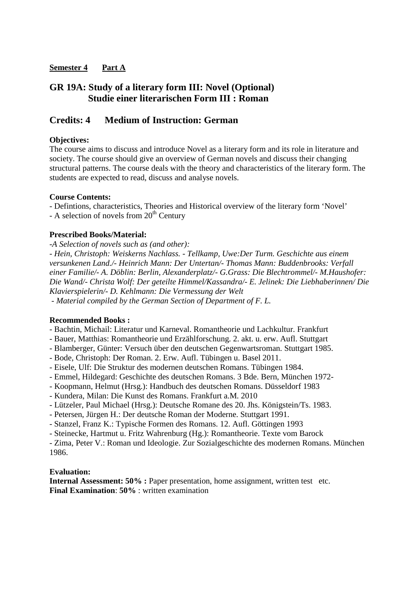## **GR 19A: Study of a literary form III: Novel (Optional) Studie einer literarischen Form III : Roman**

## **Credits: 4 Medium of Instruction: German**

### **Objectives:**

The course aims to discuss and introduce Novel as a literary form and its role in literature and society. The course should give an overview of German novels and discuss their changing structural patterns. The course deals with the theory and characteristics of the literary form. The students are expected to read, discuss and analyse novels.

#### **Course Contents:**

- Defintions, characteristics, Theories and Historical overview of the literary form 'Novel'

- A selection of novels from  $20<sup>th</sup>$  Century

#### **Prescribed Books/Material:**

*-A Selection of novels such as (and other): - Hein, Christoph: Weiskerns Nachlass. - Tellkamp, Uwe:Der Turm. Geschichte aus einem versunkenen Land./- Heinrich Mann: Der Untertan/- Thomas Mann: Buddenbrooks: Verfall einer Familie/- A. Döblin: Berlin, Alexanderplatz/- G.Grass: Die Blechtrommel/- M.Haushofer: Die Wand/- Christa Wolf: Der geteilte Himmel/Kassandra/- E. Jelinek: Die Liebhaberinnen/ Die Klavierspielerin/- D. Kehlmann: Die Vermessung der Welt - Material compiled by the German Section of Department of F. L.* 

#### **Recommended Books :**

- Bachtin, Michail: Literatur und Karneval. Romantheorie und Lachkultur. Frankfurt
- Bauer, Matthias: Romantheorie und Erzählforschung. 2. akt. u. erw. Aufl. Stuttgart
- Blamberger, Günter: Versuch über den deutschen Gegenwartsroman. Stuttgart 1985.
- Bode, Christoph: Der Roman. 2. Erw. Aufl. Tübingen u. Basel 2011.
- Eisele, Ulf: Die Struktur des modernen deutschen Romans. Tübingen 1984.
- Emmel, Hildegard: Geschichte des deutschen Romans. 3 Bde. Bern, München 1972-
- Koopmann, Helmut (Hrsg.): Handbuch des deutschen Romans. Düsseldorf 1983
- Kundera, Milan: Die Kunst des Romans. Frankfurt a.M. 2010
- Lützeler, Paul Michael (Hrsg.): Deutsche Romane des 20. Jhs. Königstein/Ts. 1983.
- Petersen, Jürgen H.: Der deutsche Roman der Moderne. Stuttgart 1991.
- Stanzel, Franz K.: Typische Formen des Romans. 12. Aufl. Göttingen 1993
- Steinecke, Hartmut u. Fritz Wahrenburg (Hg.): Romantheorie. Texte vom Barock

- Zima, Peter V.: Roman und Ideologie. Zur Sozialgeschichte des modernen Romans. München 1986.

#### **Evaluation:**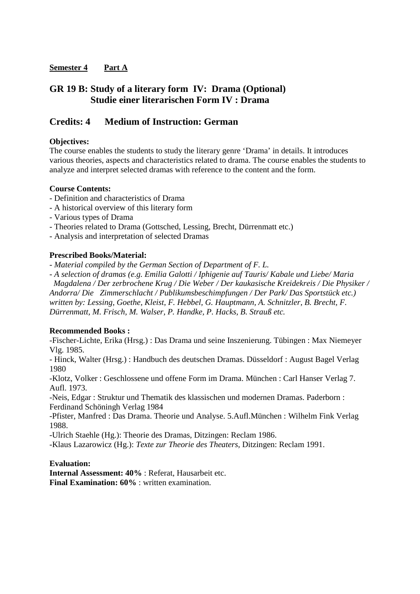## **GR 19 B: Study of a literary form IV: Drama (Optional) Studie einer literarischen Form IV : Drama**

## **Credits: 4 Medium of Instruction: German**

### **Objectives:**

The course enables the students to study the literary genre 'Drama' in details. It introduces various theories, aspects and characteristics related to drama. The course enables the students to analyze and interpret selected dramas with reference to the content and the form.

#### **Course Contents:**

- Definition and characteristics of Drama
- A historical overview of this literary form
- Various types of Drama
- Theories related to Drama (Gottsched, Lessing, Brecht, Dürrenmatt etc.)
- Analysis and interpretation of selected Dramas

### **Prescribed Books/Material:**

*- Material compiled by the German Section of Department of F. L.* 

*- A selection of dramas (e.g. Emilia Galotti / Iphigenie auf Tauris/ Kabale und Liebe/ Maria Magdalena / Der zerbrochene Krug / Die Weber / Der kaukasische Kreidekreis / Die Physiker / Andorra/ Die Zimmerschlacht / Publikumsbeschimpfungen / Der Park/ Das Sportstück etc.) written by: Lessing, Goethe, Kleist, F. Hebbel, G. Hauptmann, A. Schnitzler, B. Brecht, F.* 

*Dürrenmatt, M. Frisch, M. Walser, P. Handke, P. Hacks, B. Strauß etc.* 

#### **Recommended Books :**

-Fischer-Lichte, Erika (Hrsg.) : Das Drama und seine Inszenierung. Tübingen : Max Niemeyer Vlg. 1985.

- Hinck, Walter (Hrsg.) : Handbuch des deutschen Dramas. Düsseldorf : August Bagel Verlag 1980

-Klotz, Volker : Geschlossene und offene Form im Drama. München : Carl Hanser Verlag 7. Aufl. 1973.

-Neis, Edgar : Struktur und Thematik des klassischen und modernen Dramas. Paderborn : Ferdinand Schöningh Verlag 1984

-Pfister, Manfred : Das Drama. Theorie und Analyse. 5.Aufl.München : Wilhelm Fink Verlag 1988.

-Ulrich Staehle (Hg.): Theorie des Dramas, Ditzingen: Reclam 1986.

-Klaus Lazarowicz (Hg.): *Texte zur Theorie des Theaters,* Ditzingen: Reclam 1991.

#### **Evaluation:**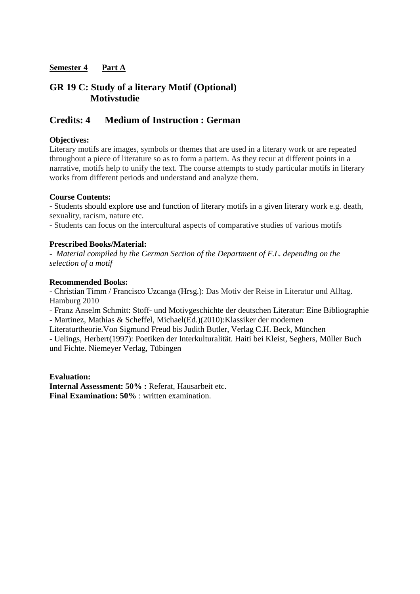## **GR 19 C: Study of a literary Motif (Optional) Motivstudie**

## **Credits: 4 Medium of Instruction : German**

### **Objectives:**

Literary motifs are images, symbols or themes that are used in a literary work or are repeated throughout a piece of literature so as to form a pattern. As they recur at different points in a narrative, motifs help to unify the text. The course attempts to study particular motifs in literary works from different periods and understand and analyze them.

#### **Course Contents:**

- Students should explore use and function of literary motifs in a given literary work e.g. death, sexuality, racism, nature etc.

- Students can focus on the intercultural aspects of comparative studies of various motifs

#### **Prescribed Books/Material:**

*- Material compiled by the German Section of the Department of F.L. depending on the selection of a motif* 

#### **Recommended Books:**

- Christian Timm / Francisco Uzcanga (Hrsg.): Das Motiv der Reise in Literatur und Alltag. Hamburg 2010

- Franz Anselm Schmitt: Stoff- und Motivgeschichte der deutschen Literatur: Eine Bibliographie - Martinez, Mathias & Scheffel, Michael(Ed.)(2010):Klassiker der modernen

Literaturtheorie.Von Sigmund Freud bis Judith Butler, Verlag C.H. Beck, München

- Uelings, Herbert(1997): Poetiken der Interkulturalität. Haiti bei Kleist, Seghers, Müller Buch und Fichte. Niemeyer Verlag, Tübingen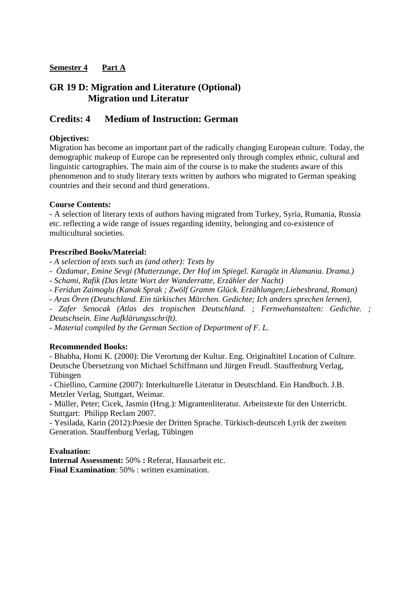## **GR 19 D: Migration and Literature (Optional) Migration und Literatur**

## **Credits: 4 Medium of Instruction: German**

### **Objectives:**

Migration has become an important part of the radically changing European culture. Today, the demographic makeup of Europe can be represented only through complex ethnic, cultural and linguistic cartographies. The main aim of the course is to make the students aware of this phenomenon and to study literary texts written by authors who migrated to German speaking countries and their second and third generations.

#### **Course Contents:**

- A selection of literary texts of authors having migrated from Turkey, Syria, Rumania, Russia etc. reflecting a wide range of issues regarding identity, belonging and co-existence of multicultural societies.

### **Prescribed Books/Material:**

*- A selection of texts such as (and other): Texts by* 

*- Özdamar, Emine Sevgi (Mutterzunge, Der Hof im Spiegel. Karagöz in Alamania. Drama.)* 

*- Schami, Rafik (Das letzte Wort der Wanderratte, Erzähler der Nacht)* 

*- Feridun Zaimoglu (Kanak Sprak ; Zwölf Gramm Glück. Erzählungen;Liebesbrand, Roman)* 

*- Aras Ören (Deutschland. Ein türkisches Märchen. Gedichte; Ich anders sprechen lernen),* 

*- Zafer Senocak (Atlas des tropischen Deutschland. ; Fernwehanstalten: Gedichte. ; Deutschsein. Eine Aufklärungsschrift).* 

*- Material compiled by the German Section of Department of F. L.* 

#### **Recommended Books:**

- Bhabha, Homi K. (2000): Die Verortung der Kultur. Eng. Originaltitel Location of Culture. Deutsche Übersetzung von Michael Schiffmann und Jürgen Freudl. Stauffenburg Verlag, Tübingen

- Chiellino, Carmine (2007): Interkulturelle Literatur in Deutschland. Ein Handbuch. J.B. Metzler Verlag, Stuttgart, Weimar.

**-** Müller, Peter; Cicek, Jasmin (Hrsg.): Migrantenliteratur. Arbeitstexte für den Unterricht. Stuttgart: Philipp Reclam 2007.

- Yesilada, Karin (2012):Poesie der Dritten Sprache. Türkisch-deutsceh Lyrik der zweiten Generation. Stauffenburg Verlag, Tübingen

#### **Evaluation:**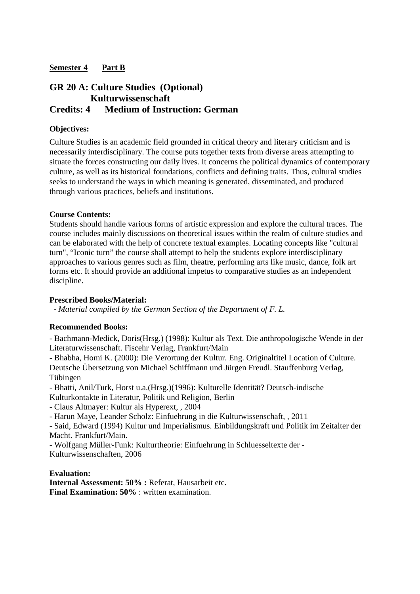## **GR 20 A: Culture Studies (Optional) Kulturwissenschaft Credits: 4 Medium of Instruction: German**

### **Objectives:**

Culture Studies is an academic field grounded in critical theory and literary criticism and is necessarily interdisciplinary. The course puts together texts from diverse areas attempting to situate the forces constructing our daily lives. It concerns the political dynamics of contemporary culture, as well as its historical foundations, conflicts and defining traits. Thus, cultural studies seeks to understand the ways in which meaning is generated, disseminated, and produced through various practices, beliefs and institutions.

#### **Course Contents:**

Students should handle various forms of artistic expression and explore the cultural traces. The course includes mainly discussions on theoretical issues within the realm of culture studies and can be elaborated with the help of concrete textual examples. Locating concepts like "cultural turn", "Iconic turn" the course shall attempt to help the students explore interdisciplinary approaches to various genres such as film, theatre, performing arts like music, dance, folk art forms etc. It should provide an additional impetus to comparative studies as an independent discipline.

#### **Prescribed Books/Material:**

*- Material compiled by the German Section of the Department of F. L.* 

#### **Recommended Books:**

- Bachmann-Medick, Doris(Hrsg.) (1998): Kultur als Text. Die anthropologische Wende in der Literaturwissenschaft. Fiscehr Verlag, Frankfurt/Main

- Bhabha, Homi K. (2000): Die Verortung der Kultur. Eng. Originaltitel Location of Culture. Deutsche Übersetzung von Michael Schiffmann und Jürgen Freudl. Stauffenburg Verlag, Tübingen

- Bhatti, Anil/Turk, Horst u.a.(Hrsg.)(1996): Kulturelle Identität? Deutsch-indische Kulturkontakte in Literatur, Politik und Religion, Berlin

- Claus Altmayer: Kultur als Hyperext, , 2004

- Harun Maye, Leander Scholz: Einfuehrung in die Kulturwissenschaft, , 2011

- Said, Edward (1994) Kultur und Imperialismus. Einbildungskraft und Politik im Zeitalter der Macht. Frankfurt/Main.

- Wolfgang Müller-Funk: Kulturtheorie: Einfuehrung in Schluesseltexte der - Kulturwissenschaften, 2006

**Evaluation:**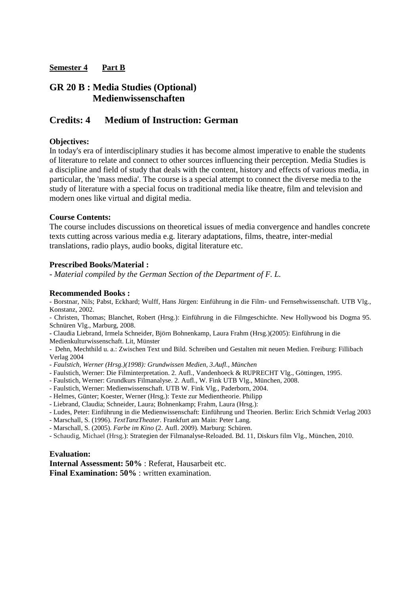## **GR 20 B : Media Studies (Optional) Medienwissenschaften**

## **Credits: 4 Medium of Instruction: German**

### **Objectives:**

In today's era of interdisciplinary studies it has become almost imperative to enable the students of literature to relate and connect to other sources influencing their perception. Media Studies is a discipline and field of study that deals with the content, history and effects of various media, in particular, the 'mass media'. The course is a special attempt to connect the diverse media to the study of literature with a special focus on traditional media like theatre, film and television and modern ones like virtual and digital media.

#### **Course Contents:**

The course includes discussions on theoretical issues of media convergence and handles concrete texts cutting across various media e.g. literary adaptations, films, theatre, inter-medial translations, radio plays, audio books, digital literature etc.

#### **Prescribed Books/Material :**

*- Material compiled by the German Section of the Department of F. L.* 

#### **Recommended Books :**

- Borstnar, Nils; Pabst, Eckhard; Wulff, Hans Jürgen: Einführung in die Film- und Fernsehwissenschaft. UTB Vlg., Konstanz, 2002.

- Christen, Thomas; Blanchet, Robert (Hrsg.): Einführung in die Filmgeschichte. New Hollywood bis Dogma 95. Schnüren Vlg., Marburg, 2008.

**-** Claudia Liebrand, Irmela Schneider, Björn Bohnenkamp, Laura Frahm (Hrsg.)(2005): Einführung in die

Medienkulturwissenschaft. Lit, Münster

- Dehn, Mechthild u. a.: Zwischen Text und Bild. Schreiben und Gestalten mit neuen Medien. Freiburg: Fillibach Verlag 2004

- *Faulstich, Werner (Hrsg.)(1998): Grundwissen Medien, 3.Aufl., München*
- Faulstich, Werner: Die Filminterpretation. 2. Aufl., Vandenhoeck & RUPRECHT Vlg., Göttingen, 1995.
- Faulstich, Werner: Grundkurs Filmanalyse. 2. Aufl., W. Fink UTB Vlg., München, 2008.
- Faulstich, Werner: Medienwissenschaft. UTB W. Fink Vlg., Paderborn, 2004.
- Helmes, Günter; Koester, Werner (Hrsg.): Texte zur Medientheorie. Philipp
- Liebrand, Claudia; Schneider, Laura; Bohnenkamp; Frahm, Laura (Hrsg.):
- Ludes, Peter: Einführung in die Medienwissenschaft: Einführung und Theorien. Berlin: Erich Schmidt Verlag 2003
- Marschall, S. (1996). *TextTanzTheater.* Frankfurt am Main: Peter Lang.
- Marschall, S. (2005). *Farbe im Kino* (2. Aufl. 2009)*.* Marburg: Schüren.
- Schaudig, Michael (Hrsg.): Strategien der Filmanalyse-Reloaded. Bd. 11, Diskurs film Vlg., München, 2010.

#### **Evaluation:**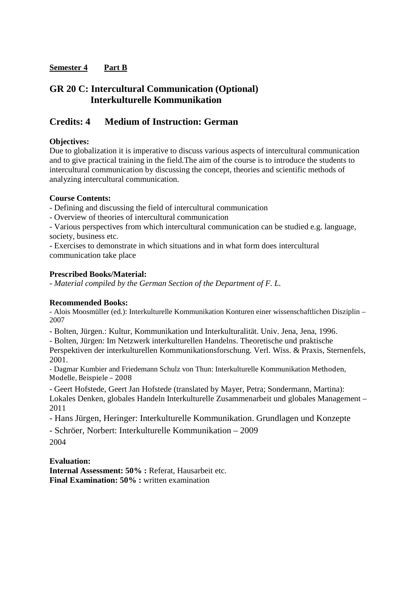## **GR 20 C: Intercultural Communication (Optional) Interkulturelle Kommunikation**

## **Credits: 4 Medium of Instruction: German**

### **Objectives:**

Due to globalization it is imperative to discuss various aspects of intercultural communication and to give practical training in the field.The aim of the course is to introduce the students to intercultural communication by discussing the concept, theories and scientific methods of analyzing intercultural communication.

#### **Course Contents:**

- Defining and discussing the field of intercultural communication

- Overview of theories of intercultural communication

- Various perspectives from which intercultural communication can be studied e.g. language, society, business etc.

- Exercises to demonstrate in which situations and in what form does intercultural communication take place

#### **Prescribed Books/Material:**

*- Material compiled by the German Section of the Department of F. L.* 

## **Recommended Books:**

- Alois Moosmüller (ed.): Interkulturelle Kommunikation Konturen einer wissenschaftlichen Disziplin – 2007

- Bolten, Jürgen.: Kultur, Kommunikation und Interkulturalität. Univ. Jena, Jena, 1996.

- Bolten, Jürgen: Im Netzwerk interkulturellen Handelns. Theoretische und praktische

Perspektiven der interkulturellen Kommunikationsforschung. Verl. Wiss. & Praxis, Sternenfels, 2001.

- Dagmar Kumbier and Friedemann Schulz von Thun: Interkulturelle Kommunikation Methoden, Modelle, Beispiele – 2008

- Geert Hofstede, Geert Jan Hofstede (translated by Mayer, Petra; Sondermann, Martina): Lokales Denken, globales Handeln Interkulturelle Zusammenarbeit und globales Management – 2011

- Hans Jürgen, Heringer: Interkulturelle Kommunikation. Grundlagen und Konzepte

- Schröer, Norbert: Interkulturelle Kommunikation – 2009

2004

#### **Evaluation:**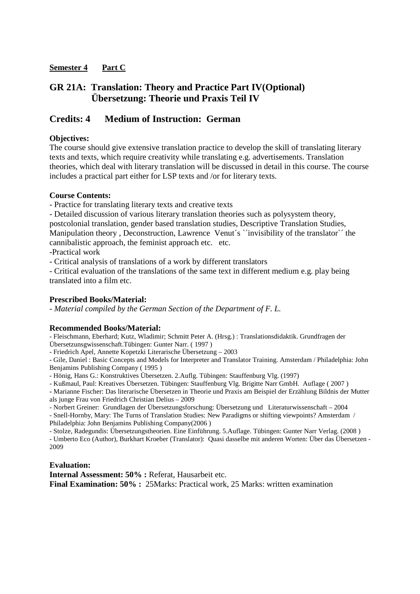## **GR 21A: Translation: Theory and Practice Part IV(Optional) Übersetzung: Theorie und Praxis Teil IV**

## **Credits: 4 Medium of Instruction: German**

### **Objectives:**

The course should give extensive translation practice to develop the skill of translating literary texts and texts, which require creativity while translating e.g. advertisements. Translation theories, which deal with literary translation will be discussed in detail in this course. The course includes a practical part either for LSP texts and /or for literary texts.

#### **Course Contents:**

- Practice for translating literary texts and creative texts

- Detailed discussion of various literary translation theories such as polysystem theory, postcolonial translation, gender based translation studies, Descriptive Translation Studies, Manipulation theory, Deconstruction, Lawrence Venut's `'invisibility of the translator'' the cannibalistic approach, the feminist approach etc. etc.

-Practical work

- Critical analysis of translations of a work by different translators

- Critical evaluation of the translations of the same text in different medium e.g. play being translated into a film etc.

#### **Prescribed Books/Material:**

*- Material compiled by the German Section of the Department of F. L.* 

#### **Recommended Books/Material:**

- Fleischmann, Eberhard; Kutz, Wladimir; Schmitt Peter A. (Hrsg.) : Translationsdidaktik. Grundfragen der Übersetzunsgwissenschaft.Tübingen: Gunter Narr. ( 1997 )

- Friedrich Apel, Annette Kopetzki Literarische Übersetzung – 2003

- Gile, Daniel : Basic Concepts and Models for Interpreter and Translator Training. Amsterdam / Philadelphia: John Benjamins Publishing Company ( 1995 )

- Hönig, Hans G.: Konstruktives Übersetzen. 2.Auflg. Tübingen: Stauffenburg Vlg. (1997)

- Kußmaul, Paul: Kreatives Übersetzen. Tübingen: Stauffenburg Vlg. Brigitte Narr GmbH. Auflage ( 2007 )

**-** Marianne Fischer: Das literarische Übersetzen in Theorie und Praxis am Beispiel der Erzählung Bildnis der Mutter als junge Frau von Friedrich Christian Delius – 2009

- Norbert Greiner: Grundlagen der Übersetzungsforschung: Übersetzung und Literaturwissenschaft – 2004

- Snell-Hornby, Mary: The Turns of Translation Studies: New Paradigms or shifting viewpoints? Amsterdam / Philadelphia: John Benjamins Publishing Company(2006 )

- Stolze, Radegundis: Übersetzungstheorien. Eine Einführung. 5.Auflage. Tübingen: Gunter Narr Verlag. (2008 )

- Umberto Eco (Author), Burkhart Kroeber (Translator): Quasi dasselbe mit anderen Worten: Über das Übersetzen - 2009

#### **Evaluation:**

**Internal Assessment: 50% :** Referat, Hausarbeit etc. **Final Examination: 50% :** 25Marks: Practical work, 25 Marks: written examination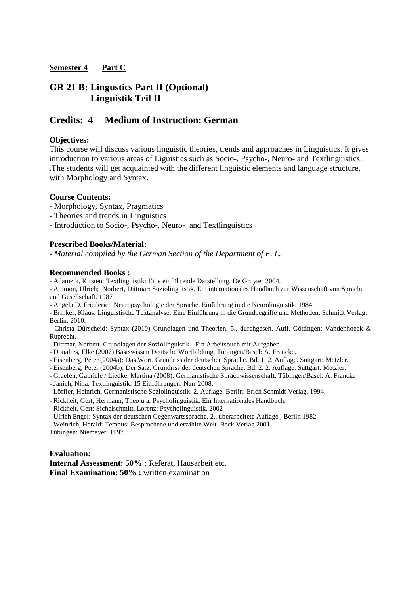## **GR 21 B: Lingustics Part II (Optional) Linguistik Teil II**

## **Credits: 4 Medium of Instruction: German**

#### **Objectives:**

This course will discuss various linguistic theories, trends and approaches in Linguistics. It gives introduction to various areas of Liguistics such as Socio-, Psycho-, Neuro- and Textlinguistics. .The students will get acquainted with the different linguistic elements and language structure, with Morphology and Syntax.

#### **Course Contents:**

- Morphology, Syntax, Pragmatics
- Theories and trends in Linguistics

- Introduction to Socio-, Psycho-, Neuro- and Textlinguistics

#### **Prescribed Books/Material:**

*- Material compiled by the German Section of the Department of F. L.* 

#### **Recommended Books :**

- Adamzik, Kirsten: Textlinguistik: Eine einführende Darstellung. De Gruyter 2004.

- Ammon, Ulrich; Norbert, Dittmar: Soziolinguistik. Ein internationales Handbuch zur Wissenschaft von Sprache und Gesellschaft. 1987

- Angela D. Friederici. Neuropsychologie der Sprache. Einführung in die Neurolinguistik. 1984
- Brinker, Klaus: Linguistische Textanalyse: Eine Einführung in die Grundbegriffe und Methoden. Schmidt Verlag. Berlin: 2010.

- Christa Dürscheid: Syntax (2010) Grundlagen und Theorien. 5., durchgeseh. Aufl. Göttingen: Vandenhoeck & Ruprecht.

- Dittmar, Norbert. Grundlagen der Soziolinguistik Ein Arbeitsbuch mit Aufgaben.
- Donalies, Elke (2007) Basiswissen Deutsche Wortbildung, Tübingen/Basel: A. Francke.
- Eisenberg, Peter (2004a): Das Wort. Grundriss der deutschen Sprache. Bd. 1. 2. Auflage. Suttgart: Metzler.
- Eisenberg, Peter (2004b): Der Satz. Grundriss der deutschen Sprache. Bd. 2. 2. Auflage. Suttgart: Metzler.
- Graefen, Gabriele / Liedke, Martina (2008): Germanistische Sprachwissenschaft. Tübingen/Basel: A. Francke
- Janich, Nina: Textlinguistik: 15 Einführungen. Narr 2008.
- Löffler, Heinrich. Germanistische Soziolinguistik. 2. Auflage. Berlin: Erich Schmidt Verlag. 1994.
- Rickheit, Gert; Hermann, Theo u a: Psycholinguistik. Ein Internationales Handbuch.
- Rickheit, Gert; Sichelschmitt, Lorenz: Psycholinguistik. 2002
- Ulrich Engel: Syntax der deutschen Gegenwartssprache, 2., überarbeitete Auflage , Berlin 1982

- Weinrich, Herald: Tempus: Besprochene und erzählte Welt. Beck Verlag 2001.

Tübingen: Niemeyer. 1997.

#### **Evaluation:**